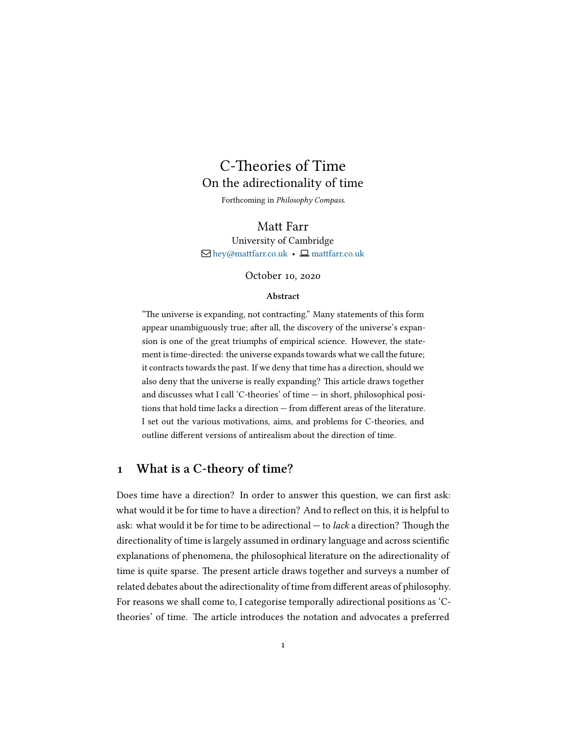# C-Theories of Time On the adirectionality of time

Forthcoming in *Philosophy Compass*.

## Matt Farr

University of Cambridge  $\Box$  [hey@mattfarr.co.uk](mailto:hey@mattfarr.co.uk) •  $\Box$  [mattfarr.co.uk](http://mattfarr.co.uk/)

October 10, 2020

### **Abstract**

"The universe is expanding, not contracting." Many statements of this form appear unambiguously true; after all, the discovery of the universe's expansion is one of the great triumphs of empirical science. However, the statement is time-directed: the universe expands towards what we call the future; it contracts towards the past. If we deny that time has a direction, should we also deny that the universe is really expanding? This article draws together and discusses what I call 'C-theories' of time — in short, philosophical positions that hold time lacks a direction — from different areas of the literature. I set out the various motivations, aims, and problems for C-theories, and outline different versions of antirealism about the direction of time.

### **1 What is a C-theory of time?**

Does time have a direction? In order to answer this question, we can first ask: what would it be for time to have a direction? And to reflect on this, it is helpful to ask: what would it be for time to be adirectional — to *lack* a direction? Though the directionality of time is largely assumed in ordinary language and across scientific explanations of phenomena, the philosophical literature on the adirectionality of time is quite sparse. The present article draws together and surveys a number of related debates about the adirectionality of time from different areas of philosophy. For reasons we shall come to, I categorise temporally adirectional positions as 'Ctheories' of time. The article introduces the notation and advocates a preferred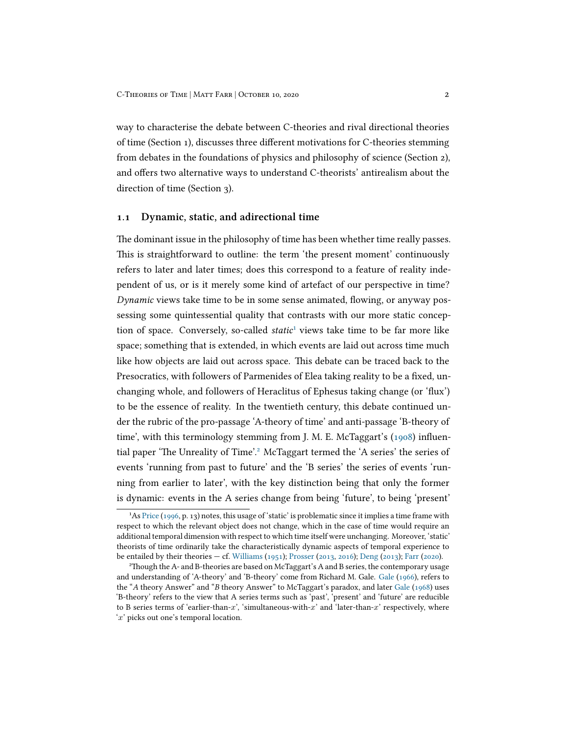way to characterise the debate between C-theories and rival directional theories of time (Section 1), discusses three different motivations for C-theories stemming from debates in the foundations of physics and philosophy of science (Section 2), and offers two alternative ways to understand C-theorists' antirealism about the direction of time (Section 3).

#### **1.1 Dynamic, static, and adirectional time**

The dominant issue in the philosophy of time has been whether time really passes. This is straightforward to outline: the term 'the present moment' continuously refers to later and later times; does this correspond to a feature of reality independent of us, or is it merely some kind of artefact of our perspective in time? *Dynamic* views take time to be in some sense animated, flowing, or anyway possessing some quintessential quality that contrasts with our more static conception of space. Conversely, so-called *static*<sup>1</sup> views take time to be far more like space; something that is extended, in which events are laid out across time much like how objects are laid out across space. This debate can be traced back to the Presocratics, with followers of Parmenides of Elea taking reality to be a fixed, unchanging whole, and followers of Heraclitus of Ephesus taking change (or 'flux') to be the essence of reality. In the twentieth century, this debate continued under the rubric of the pro-passage 'A-theory of time' and anti-passage 'B-theory of time', with this terminology stemming from J. M. E. McTaggart's([1908\)](#page-28-0) influential paper 'The Unreality of Time'.[²](#page-1-1) McTaggart termed the 'A series' the series of events 'running from past to future' and the 'B series' the series of events 'running from earlier to later', with the key distinction being that only the former is dynamic: events in the A series change from being 'future', to being 'present'

<span id="page-1-0"></span><sup>&</sup>lt;sup>1</sup>As [Price](#page-30-0) ([1996,](#page-30-0) p. 13) notes, this usage of 'static' is problematic since it implies a time frame with respect to which the relevant object does not change, which in the case of time would require an additional temporal dimension with respect to which time itself were unchanging. Moreover, 'static' theorists of time ordinarily take the characteristically dynamic aspects of temporal experience to be entailed by their theories — cf. [Williams](#page-32-0) [\(1951\)](#page-32-0); [Prosser](#page-31-0) ([2013](#page-31-0), [2016](#page-31-1)); [Deng](#page-25-0) ([2013\)](#page-25-0); [Farr](#page-26-0) ([2020](#page-26-0)).

<span id="page-1-1"></span>²Though the A- and B-theories are based on McTaggart's A and B series, the contemporary usage and understanding of 'A-theory' and 'B-theory' come from Richard M. Gale. [Gale](#page-27-0) [\(1966\)](#page-27-0), refers to the "*A* theory Answer" and "*B* theory Answer" to McTaggart's paradox, and later [Gale](#page-27-1) [\(1968\)](#page-27-1) uses 'B-theory' refers to the view that A series terms such as 'past', 'present' and 'future' are reducible to B series terms of 'earlier-than-*x*', 'simultaneous-with-*x*' and 'later-than-*x*' respectively, where '*x*' picks out one's temporal location.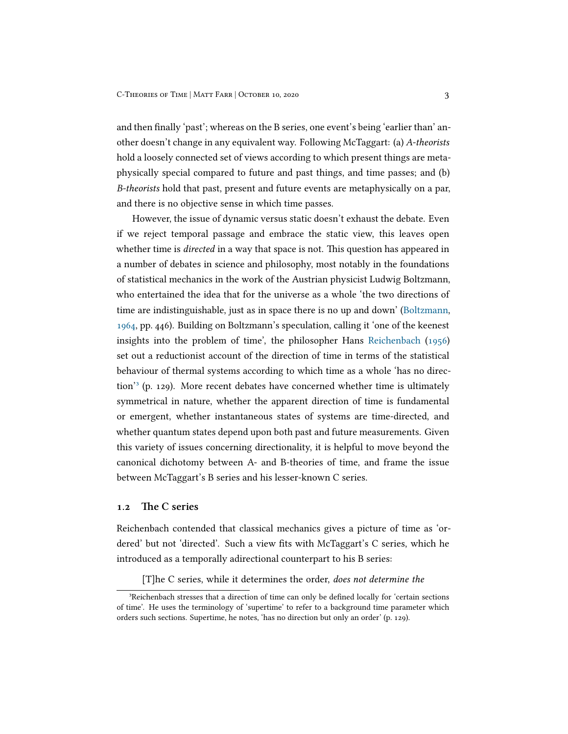and then finally 'past'; whereas on the B series, one event's being 'earlier than' another doesn't change in any equivalent way. Following McTaggart: (a) *A-theorists* hold a loosely connected set of views according to which present things are metaphysically special compared to future and past things, and time passes; and (b) *B-theorists* hold that past, present and future events are metaphysically on a par, and there is no objective sense in which time passes.

However, the issue of dynamic versus static doesn't exhaust the debate. Even if we reject temporal passage and embrace the static view, this leaves open whether time is *directed* in a way that space is not. This question has appeared in a number of debates in science and philosophy, most notably in the foundations of statistical mechanics in the work of the Austrian physicist Ludwig Boltzmann, who entertained the idea that for the universe as a whole 'the two directions of time are indistinguishable, just as in space there is no up and down'([Boltzmann](#page-24-0), [1964](#page-24-0), pp. 446). Building on Boltzmann's speculation, calling it 'one of the keenest insights into the problem of time', the philosopher Hans [Reichenbach](#page-31-2) ([1956\)](#page-31-2) set out a reductionist account of the direction of time in terms of the statistical behaviour of thermal systems according to which time as a whole 'has no direction<sup>'3</sup> (p. 129). More recent debates have concerned whether time is ultimately symmetrical in nature, whether the apparent direction of time is fundamental or emergent, whether instantaneous states of systems are time-directed, and whether quantum states depend upon both past and future measurements. Given this variety of issues concerning directionality, it is helpful to move beyond the canonical dichotomy between A- and B-theories of time, and frame the issue between McTaggart's B series and his lesser-known C series.

#### **1.2 The C series**

Reichenbach contended that classical mechanics gives a picture of time as 'ordered' but not 'directed'. Such a view fits with McTaggart's C series, which he introduced as a temporally adirectional counterpart to his B series:

[T]he C series, while it determines the order, *does not determine the*

<span id="page-2-0"></span><sup>&</sup>lt;sup>3</sup>Reichenbach stresses that a direction of time can only be defined locally for 'certain sections of time'. He uses the terminology of 'supertime' to refer to a background time parameter which orders such sections. Supertime, he notes, 'has no direction but only an order' (p. 129).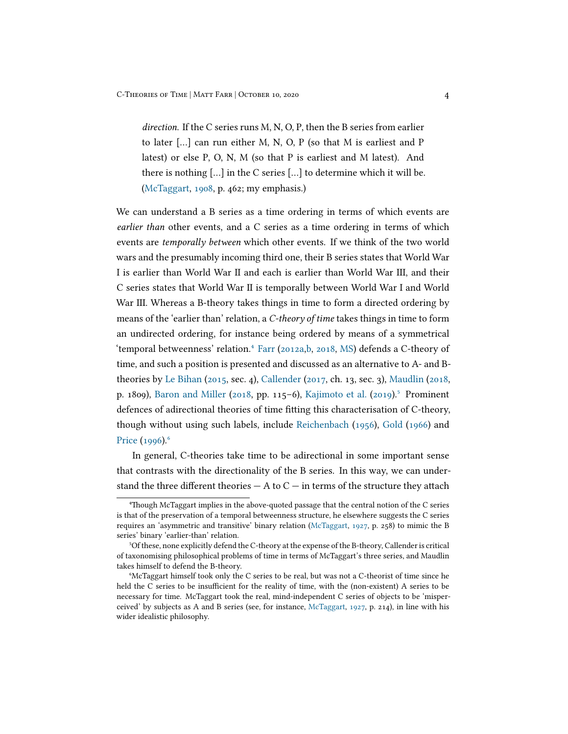*direction*. If the C series runs M, N, O, P, then the B series from earlier to later […] can run either M, N, O, P (so that M is earliest and P latest) or else P, O, N, M (so that P is earliest and M latest). And there is nothing […] in the C series […] to determine which it will be. ([McTaggart](#page-28-0), [1908,](#page-28-0) p. 462; my emphasis.)

We can understand a B series as a time ordering in terms of which events are *earlier than* other events, and a C series as a time ordering in terms of which events are *temporally between* which other events. If we think of the two world wars and the presumably incoming third one, their B series states that World War I is earlier than World War II and each is earlier than World War III, and their C series states that World War II is temporally between World War I and World War III. Whereas a B-theory takes things in time to form a directed ordering by means of the 'earlier than' relation, a *C-theory of time* takes things in time to form an undirected ordering, for instance being ordered by means of a symmetrical 'temporal betweenness' relation.<sup>4</sup> [Farr](#page-26-1) ([2012a](#page-26-1)[,b,](#page-26-2) [2018](#page-26-3), [MS](#page-26-4)) defends a C-theory of time, and such a position is presented and discussed as an alternative to A- and Btheories by [Le Bihan](#page-28-1) ([2015](#page-28-1), sec. 4), [Callender](#page-25-1) ([2017](#page-25-1), ch. 13, sec. 3), [Maudlin](#page-28-2) ([2018](#page-28-2), p. 1809), [Baron and Miller](#page-24-1) [\(2018,](#page-24-1) pp. 115–6), [Kajimoto et al.](#page-27-2) [\(2019\)](#page-27-2).<sup>5</sup> Prominent defences of adirectional theories of time fitting this characterisation of C-theory, though without using such labels, include [Reichenbach](#page-31-2) [\(1956](#page-31-2)), [Gold](#page-27-3) ([1966](#page-27-3)) and [Price](#page-30-0) [\(1996\)](#page-30-0).<sup>6</sup>

In general, C-theories take time to be adirectional in some important sense that contrasts with the directionality of the B series. In this way, we can understand the three different theories  $- A$  to  $C$  – in terms of the structure they attach

<span id="page-3-0"></span>⁴Though McTaggart implies in the above-quoted passage that the central notion of the C series is that of the preservation of a temporal betweenness structure, he elsewhere suggests the C series requires an 'asymmetric and transitive' binary relation [\(McTaggart,](#page-28-3) [1927](#page-28-3), p. 258) to mimic the B series' binary 'earlier-than' relation.

<span id="page-3-1"></span>⁵Of these, none explicitly defend the C-theory at the expense of the B-theory, Callender is critical of taxonomising philosophical problems of time in terms of McTaggart's three series, and Maudlin takes himself to defend the B-theory.

<span id="page-3-2"></span>⁶McTaggart himself took only the C series to be real, but was not a C-theorist of time since he held the C series to be insufficient for the reality of time, with the (non-existent) A series to be necessary for time. McTaggart took the real, mind-independent C series of objects to be 'misperceived' by subjects as A and B series (see, for instance, [McTaggart](#page-28-3), [1927,](#page-28-3) p. 214), in line with his wider idealistic philosophy.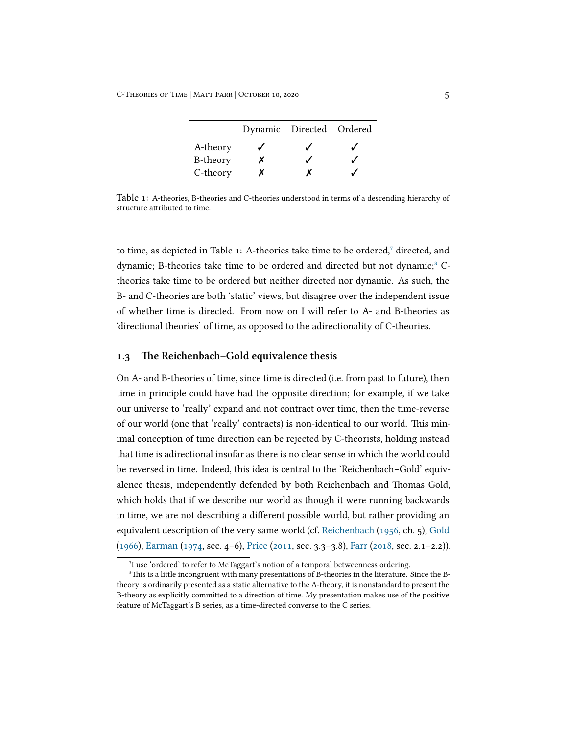|          | Dynamic Directed Ordered |  |
|----------|--------------------------|--|
| A-theory |                          |  |
| B-theory |                          |  |
| C-theory | x                        |  |

Table 1: A-theories, B-theories and C-theories understood in terms of a descending hierarchy of structure attributed to time.

to time, as depicted in Table 1: A-theories take time to be ordered,<sup>7</sup> directed, and dynamic; B-theories take time to be ordered and directed but not dynamic;<sup>8</sup> Ctheories take time to be ordered but neither directed nor dynamic. As such, the B- and C-theories are both 'static' views, but disagree over the independent issue of whether time is directed. From now on I will refer to A- and B-theories as 'directional theories' of time, as opposed to the adirectionality of C-theories.

### **1.3 The Reichenbach–Gold equivalence thesis**

On A- and B-theories of time, since time is directed (i.e. from past to future), then time in principle could have had the opposite direction; for example, if we take our universe to 'really' expand and not contract over time, then the time-reverse of our world (one that 'really' contracts) is non-identical to our world. This minimal conception of time direction can be rejected by C-theorists, holding instead that time is adirectional insofar as there is no clear sense in which the world could be reversed in time. Indeed, this idea is central to the 'Reichenbach–Gold' equivalence thesis, independently defended by both Reichenbach and Thomas Gold, which holds that if we describe our world as though it were running backwards in time, we are not describing a different possible world, but rather providing an equivalent description of the very same world (cf. [Reichenbach](#page-31-2) [\(1956,](#page-31-2) ch. 5), [Gold](#page-27-3) ([1966](#page-27-3)), [Earman](#page-25-2) ([1974,](#page-25-2) sec. 4–6), [Price](#page-30-1) [\(2011,](#page-30-1) sec. 3.3–3.8), [Farr](#page-26-3) [\(2018](#page-26-3), sec. 2.1–2.2)).

<span id="page-4-1"></span><span id="page-4-0"></span><sup>&</sup>lt;sup>7</sup>I use 'ordered' to refer to McTaggart's notion of a temporal betweenness ordering.

⁸This is a little incongruent with many presentations of B-theories in the literature. Since the Btheory is ordinarily presented as a static alternative to the A-theory, it is nonstandard to present the B-theory as explicitly committed to a direction of time. My presentation makes use of the positive feature of McTaggart's B series, as a time-directed converse to the C series.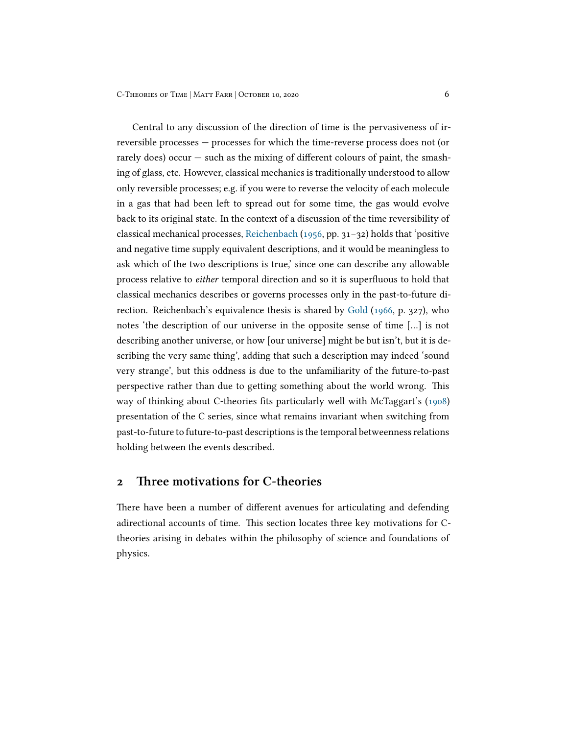Central to any discussion of the direction of time is the pervasiveness of irreversible processes — processes for which the time-reverse process does not (or rarely does) occur  $-$  such as the mixing of different colours of paint, the smashing of glass, etc. However, classical mechanics is traditionally understood to allow only reversible processes; e.g. if you were to reverse the velocity of each molecule in a gas that had been left to spread out for some time, the gas would evolve back to its original state. In the context of a discussion of the time reversibility of classical mechanical processes, [Reichenbach](#page-31-2) ([1956](#page-31-2), pp. 31–32) holds that 'positive and negative time supply equivalent descriptions, and it would be meaningless to ask which of the two descriptions is true,' since one can describe any allowable process relative to *either* temporal direction and so it is superfluous to hold that classical mechanics describes or governs processes only in the past-to-future direction. Reichenbach's equivalence thesis is shared by [Gold](#page-27-3) [\(1966](#page-27-3), p. 327), who notes 'the description of our universe in the opposite sense of time […] is not describing another universe, or how [our universe] might be but isn't, but it is describing the very same thing', adding that such a description may indeed 'sound very strange', but this oddness is due to the unfamiliarity of the future-to-past perspective rather than due to getting something about the world wrong. This way of thinking about C-theories fits particularly well with McTaggart's([1908\)](#page-28-0) presentation of the C series, since what remains invariant when switching from past-to-future to future-to-past descriptions is the temporal betweenness relations holding between the events described.

### **2 Three motivations for C-theories**

There have been a number of different avenues for articulating and defending adirectional accounts of time. This section locates three key motivations for Ctheories arising in debates within the philosophy of science and foundations of physics.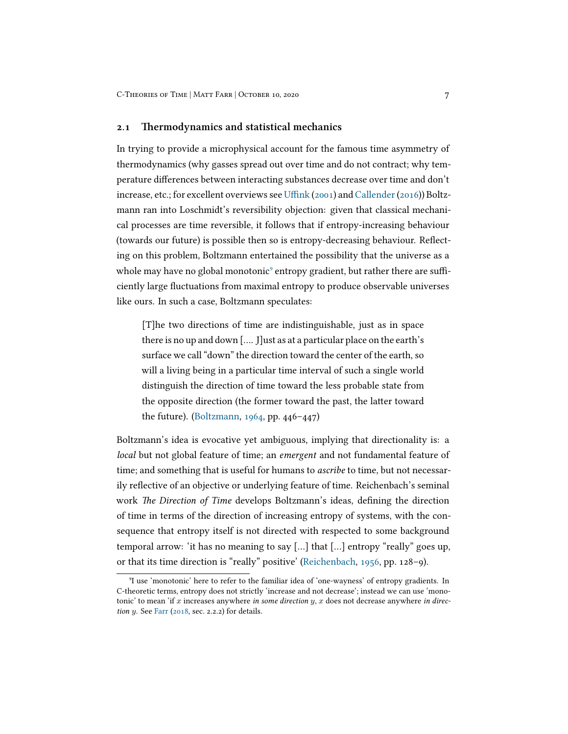### **2.1 Thermodynamics and statistical mechanics**

In trying to provide a microphysical account for the famous time asymmetry of thermodynamics (why gasses spread out over time and do not contract; why temperature differences between interacting substances decrease over time and don't increase, etc.; for excellent overviews see [Uffink](#page-32-1) [\(2001\)](#page-32-1) and [Callender\(2016](#page-25-3))) Boltzmann ran into Loschmidt's reversibility objection: given that classical mechanical processes are time reversible, it follows that if entropy-increasing behaviour (towards our future) is possible then so is entropy-decreasing behaviour. Reflecting on this problem, Boltzmann entertained the possibility that the universe as a whole may have no global monotonic<sup>9</sup> entropy gradient, but rather there are sufficiently large fluctuations from maximal entropy to produce observable universes like ours. In such a case, Boltzmann speculates:

[T]he two directions of time are indistinguishable, just as in space there is no up and down […. J]ust as at a particular place on the earth's surface we call "down" the direction toward the center of the earth, so will a living being in a particular time interval of such a single world distinguish the direction of time toward the less probable state from the opposite direction (the former toward the past, the latter toward the future).([Boltzmann](#page-24-0), [1964,](#page-24-0) pp. 446–447)

Boltzmann's idea is evocative yet ambiguous, implying that directionality is: a *local* but not global feature of time; an *emergent* and not fundamental feature of time; and something that is useful for humans to *ascribe* to time, but not necessarily reflective of an objective or underlying feature of time. Reichenbach's seminal work *The Direction of Time* develops Boltzmann's ideas, defining the direction of time in terms of the direction of increasing entropy of systems, with the consequence that entropy itself is not directed with respected to some background temporal arrow: 'it has no meaning to say […] that […] entropy "really" goes up, or that its time direction is "really" positive'([Reichenbach](#page-31-2), [1956,](#page-31-2) pp. 128–9).

<span id="page-6-0"></span><sup>&</sup>lt;sup>9</sup>I use 'monotonic' here to refer to the familiar idea of 'one-wayness' of entropy gradients. In C-theoretic terms, entropy does not strictly 'increase and not decrease'; instead we can use 'monotonic' to mean 'if *x* increases anywhere *in some direction y*, *x* does not decrease anywhere *in direction y*. See [Farr](#page-26-3) [\(2018](#page-26-3), sec. 2.2.2) for details.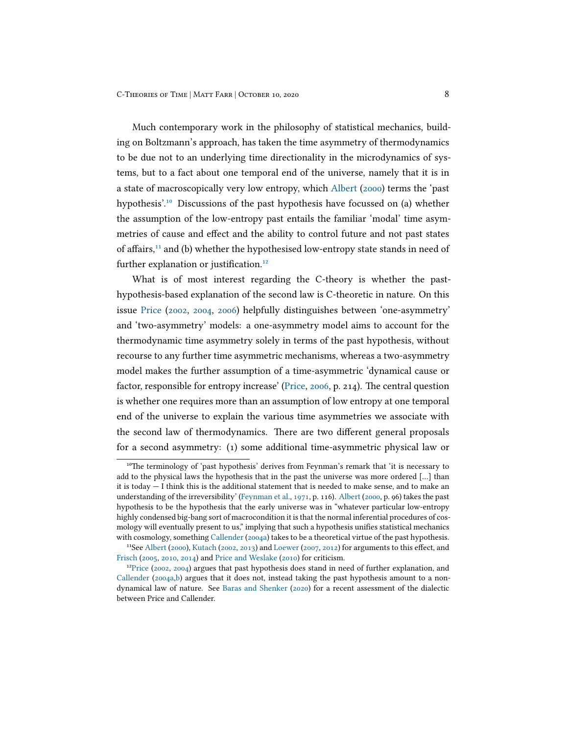Much contemporary work in the philosophy of statistical mechanics, building on Boltzmann's approach, has taken the time asymmetry of thermodynamics to be due not to an underlying time directionality in the microdynamics of systems, but to a fact about one temporal end of the universe, namely that it is in a state of macroscopically very low entropy, which [Albert](#page-24-2) [\(2000\)](#page-24-2) terms the 'past hypothesis'.<sup>10</sup> Discussions of the past hypothesis have focussed on (a) whether the assumption of the low-entropy past entails the familiar 'modal' time asymmetries of cause and effect and the ability to control future and not past states of affairs, $11$  and (b) whether the hypothesised low-entropy state stands in need of further explanation or justification. $^{12}$ 

What is of most interest regarding the C-theory is whether the pasthypothesis-based explanation of the second law is C-theoretic in nature. On this issue [Price](#page-30-2) [\(2002,](#page-30-2) [2004](#page-30-3), [2006\)](#page-30-4) helpfully distinguishes between 'one-asymmetry' and 'two-asymmetry' models: a one-asymmetry model aims to account for the thermodynamic time asymmetry solely in terms of the past hypothesis, without recourse to any further time asymmetric mechanisms, whereas a two-asymmetry model makes the further assumption of a time-asymmetric 'dynamical cause or factor, responsible for entropy increase'([Price](#page-30-4), [2006](#page-30-4), p. 214). The central question is whether one requires more than an assumption of low entropy at one temporal end of the universe to explain the various time asymmetries we associate with the second law of thermodynamics. There are two different general proposals for a second asymmetry: (1) some additional time-asymmetric physical law or

<span id="page-7-0"></span> $10$ The terminology of 'past hypothesis' derives from Feynman's remark that 'it is necessary to add to the physical laws the hypothesis that in the past the universe was more ordered […] than it is today — I think this is the additional statement that is needed to make sense, and to make an understanding of the irreversibility'([Feynman et al.,](#page-26-5) [1971](#page-26-5), p. 116). [Albert](#page-24-2) [\(2000,](#page-24-2) p. 96) takes the past hypothesis to be the hypothesis that the early universe was in "whatever particular low-entropy highly condensed big-bang sort of macrocondition it is that the normal inferential procedures of cosmology will eventually present to us," implying that such a hypothesis unifies statistical mechanics with cosmology, something [Callender](#page-25-4) [\(2004a\)](#page-25-4) takes to be a theoretical virtue of the past hypothesis.

<span id="page-7-1"></span><sup>&</sup>lt;sup>11</sup>See [Albert](#page-24-2) [\(2000\)](#page-24-2), [Kutach](#page-27-4) [\(2002,](#page-27-4) [2013](#page-28-4)) and [Loewer](#page-28-5) [\(2007,](#page-28-5) [2012](#page-28-6)) for arguments to this effect, and [Frisch](#page-26-6) ([2005,](#page-26-6) [2010,](#page-27-5) [2014](#page-27-6)) and [Price and Weslake](#page-30-5) ([2010\)](#page-30-5) for criticism.

<span id="page-7-2"></span> $12$ [Price](#page-30-2) ([2002](#page-30-2), [2004\)](#page-30-3) argues that past hypothesis does stand in need of further explanation, and [Callender](#page-25-4) ([2004a,](#page-25-4)[b\)](#page-25-5) argues that it does not, instead taking the past hypothesis amount to a nondynamical law of nature. See [Baras and Shenker](#page-24-3) ([2020](#page-24-3)) for a recent assessment of the dialectic between Price and Callender.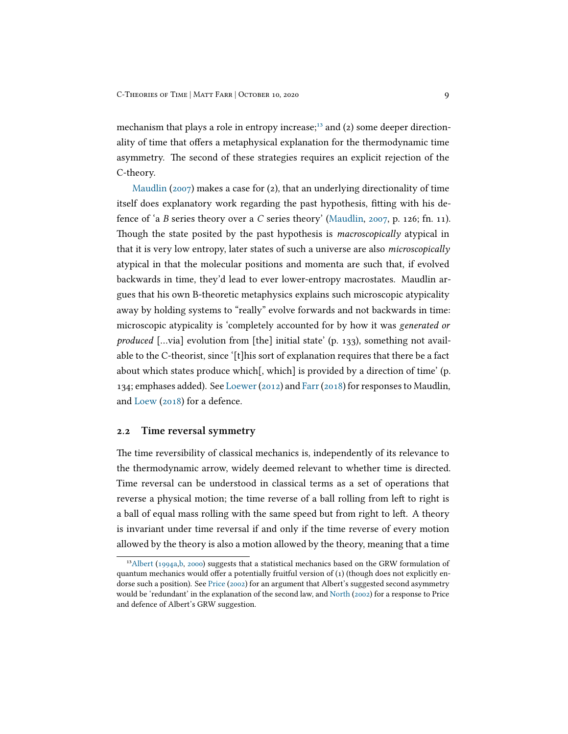mechanism that plays a role in entropy increase; $^{13}$  and (2) some deeper directionality of time that offers a metaphysical explanation for the thermodynamic time asymmetry. The second of these strategies requires an explicit rejection of the C-theory.

[Maudlin](#page-28-7) ( $2007$ ) makes a case for ( $2$ ), that an underlying directionality of time itself does explanatory work regarding the past hypothesis, fitting with his defence of 'a *B* series theory over a *C* series theory'([Maudlin,](#page-28-7) [2007,](#page-28-7) p. 126; fn. 11). Though the state posited by the past hypothesis is *macroscopically* atypical in that it is very low entropy, later states of such a universe are also *microscopically* atypical in that the molecular positions and momenta are such that, if evolved backwards in time, they'd lead to ever lower-entropy macrostates. Maudlin argues that his own B-theoretic metaphysics explains such microscopic atypicality away by holding systems to "really" evolve forwards and not backwards in time: microscopic atypicality is 'completely accounted for by how it was *generated or produced* […via] evolution from [the] initial state' (p. 133), something not available to the C-theorist, since '[t]his sort of explanation requires that there be a fact about which states produce which[, which] is provided by a direction of time' (p. 134; emphases added). See [Loewer](#page-28-6)([2012](#page-28-6)) and [Farr\(2018\)](#page-26-3) for responses to Maudlin, and [Loew](#page-28-8) [\(2018](#page-28-8)) for a defence.

### **2.2 Time reversal symmetry**

The time reversibility of classical mechanics is, independently of its relevance to the thermodynamic arrow, widely deemed relevant to whether time is directed. Time reversal can be understood in classical terms as a set of operations that reverse a physical motion; the time reverse of a ball rolling from left to right is a ball of equal mass rolling with the same speed but from right to left. A theory is invariant under time reversal if and only if the time reverse of every motion allowed by the theory is also a motion allowed by the theory, meaning that a time

<span id="page-8-0"></span><sup>&</sup>lt;sup>13</sup>[Albert](#page-23-0) [\(1994a](#page-23-0)[,b,](#page-24-4) [2000\)](#page-24-2) suggests that a statistical mechanics based on the GRW formulation of quantum mechanics would offer a potentially fruitful version of (1) (though does not explicitly endorse such a position). See [Price](#page-30-2) ([2002](#page-30-2)) for an argument that Albert's suggested second asymmetry would be 'redundant' in the explanation of the second law, and [North](#page-29-0) [\(2002\)](#page-29-0) for a response to Price and defence of Albert's GRW suggestion.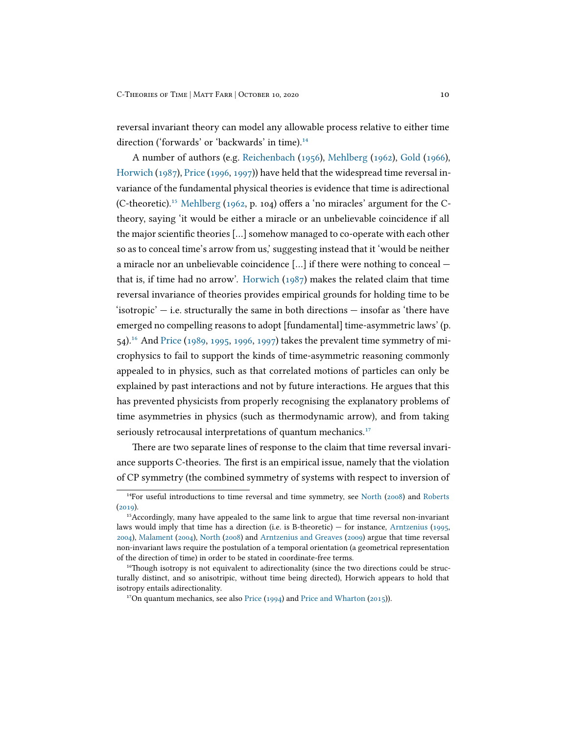reversal invariant theory can model any allowable process relative to either time direction ('forwards' or 'backwards' in time).<sup>14</sup>

A number of authors (e.g. [Reichenbach](#page-31-2) ([1956\)](#page-31-2), [Mehlberg](#page-28-9) ([1962](#page-28-9)), [Gold](#page-27-3) ([1966](#page-27-3)), [Horwich](#page-27-7) ([1987\)](#page-27-7), [Price](#page-30-0) ([1996,](#page-30-0) [1997\)](#page-30-6)) have held that the widespread time reversal invariance of the fundamental physical theories is evidence that time is adirectional (C-theoretic).<sup>15</sup> [Mehlberg](#page-28-9) ([1962](#page-28-9), p. 104) offers a 'no miracles' argument for the Ctheory, saying 'it would be either a miracle or an unbelievable coincidence if all the major scientific theories […] somehow managed to co-operate with each other so as to conceal time's arrow from us,' suggesting instead that it 'would be neither a miracle nor an unbelievable coincidence […] if there were nothing to conceal that is, if time had no arrow'. [Horwich](#page-27-7) ([1987\)](#page-27-7) makes the related claim that time reversal invariance of theories provides empirical grounds for holding time to be 'isotropic' — i.e. structurally the same in both directions — insofar as 'there have emerged no compelling reasons to adopt [fundamental] time-asymmetric laws' (p. 54).<sup>16</sup> And [Price](#page-29-1) [\(1989,](#page-29-1) [1995,](#page-29-2) [1996](#page-30-0), [1997](#page-30-6)) takes the prevalent time symmetry of microphysics to fail to support the kinds of time-asymmetric reasoning commonly appealed to in physics, such as that correlated motions of particles can only be explained by past interactions and not by future interactions. He argues that this has prevented physicists from properly recognising the explanatory problems of time asymmetries in physics (such as thermodynamic arrow), and from taking seriously retrocausal interpretations of quantum mechanics. $17$ 

There are two separate lines of response to the claim that time reversal invariance supports C-theories. The first is an empirical issue, namely that the violation of CP symmetry (the combined symmetry of systems with respect to inversion of

<span id="page-9-0"></span><sup>&</sup>lt;sup>14</sup>For useful introductions to time reversal and time symmetry, see [North](#page-29-3) [\(2008](#page-29-3)) and [Roberts](#page-31-3) [\(2019\)](#page-31-3).

<span id="page-9-1"></span><sup>&</sup>lt;sup>15</sup> Accordingly, many have appealed to the same link to argue that time reversal non-invariant laws would imply that time has a direction (i.e. is B-theoretic) — for instance, [Arntzenius](#page-24-5) ([1995](#page-24-5), [2004](#page-24-6)), [Malament](#page-28-10) ([2004](#page-28-10)), [North](#page-29-3) ([2008](#page-29-3)) and [Arntzenius and Greaves](#page-24-7) [\(2009](#page-24-7)) argue that time reversal non-invariant laws require the postulation of a temporal orientation (a geometrical representation of the direction of time) in order to be stated in coordinate-free terms.

<span id="page-9-2"></span> $16$ Though isotropy is not equivalent to adirectionality (since the two directions could be structurally distinct, and so anisotripic, without time being directed), Horwich appears to hold that isotropy entails adirectionality.

<span id="page-9-3"></span> $17$ On quantum mechanics, see also [Price](#page-29-4) [\(1994\)](#page-29-4) and [Price and Wharton](#page-30-7) ([2015\)](#page-30-7)).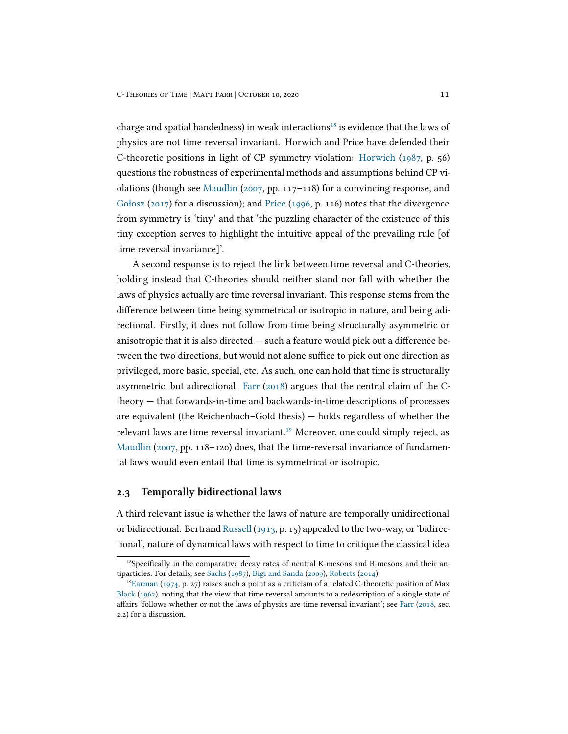charge and spatial handedness) in weak interactions<sup>18</sup> is evidence that the laws of physics are not time reversal invariant. Horwich and Price have defended their C-theoretic positions in light of CP symmetry violation: [Horwich](#page-27-7) [\(1987,](#page-27-7) p. 56) questions the robustness of experimental methods and assumptions behind CP violations (though see [Maudlin](#page-28-7) ([2007,](#page-28-7) pp. 117–118) for a convincing response, and [Gołosz](#page-27-8) [\(2017](#page-27-8)) for a discussion); and [Price](#page-30-0) [\(1996,](#page-30-0) p. 116) notes that the divergence from symmetry is 'tiny' and that 'the puzzling character of the existence of this tiny exception serves to highlight the intuitive appeal of the prevailing rule [of time reversal invariance]'.

A second response is to reject the link between time reversal and C-theories, holding instead that C-theories should neither stand nor fall with whether the laws of physics actually are time reversal invariant. This response stems from the difference between time being symmetrical or isotropic in nature, and being adirectional. Firstly, it does not follow from time being structurally asymmetric or anisotropic that it is also directed — such a feature would pick out a difference between the two directions, but would not alone suffice to pick out one direction as privileged, more basic, special, etc. As such, one can hold that time is structurally asymmetric, but adirectional. [Farr](#page-26-3) ([2018](#page-26-3)) argues that the central claim of the Ctheory — that forwards-in-time and backwards-in-time descriptions of processes are equivalent (the Reichenbach–Gold thesis) — holds regardless of whether the relevant laws are time reversal invariant.<sup>19</sup> Moreover, one could simply reject, as [Maudlin](#page-28-7) ([2007](#page-28-7), pp. 118–120) does, that the time-reversal invariance of fundamental laws would even entail that time is symmetrical or isotropic.

### **2.3 Temporally bidirectional laws**

A third relevant issue is whether the laws of nature are temporally unidirectional or bidirectional. Bertrand [Russell](#page-31-4) ([1913,](#page-31-4) p. 15) appealed to the two-way, or 'bidirectional', nature of dynamical laws with respect to time to critique the classical idea

<span id="page-10-0"></span><sup>&</sup>lt;sup>18</sup>Specifically in the comparative decay rates of neutral K-mesons and B-mesons and their antiparticles. For details, see [Sachs](#page-31-5) ([1987\)](#page-31-5), [Bigi and Sanda](#page-24-8) ([2009\)](#page-24-8), [Roberts](#page-31-6) [\(2014\)](#page-31-6).

<span id="page-10-1"></span><sup>&</sup>lt;sup>19</sup>[Earman](#page-25-2) [\(1974](#page-25-2), p. 27) raises such a point as a criticism of a related C-theoretic position of Max [Black](#page-24-9) ([1962\)](#page-24-9), noting that the view that time reversal amounts to a redescription of a single state of affairs 'follows whether or not the laws of physics are time reversal invariant'; see [Farr](#page-26-3) [\(2018](#page-26-3), sec. 2.2) for a discussion.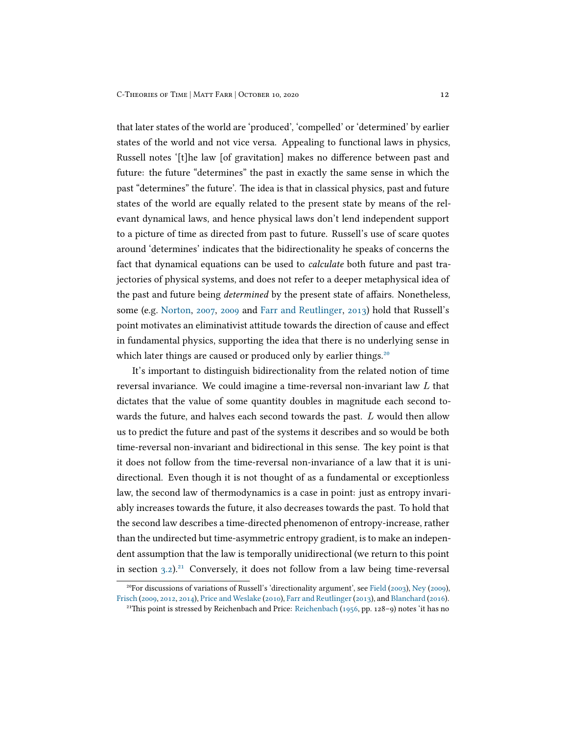that later states of the world are 'produced', 'compelled' or 'determined' by earlier states of the world and not vice versa. Appealing to functional laws in physics, Russell notes '[t]he law [of gravitation] makes no difference between past and future: the future "determines" the past in exactly the same sense in which the past "determines" the future'. The idea is that in classical physics, past and future states of the world are equally related to the present state by means of the relevant dynamical laws, and hence physical laws don't lend independent support to a picture of time as directed from past to future. Russell's use of scare quotes around 'determines' indicates that the bidirectionality he speaks of concerns the fact that dynamical equations can be used to *calculate* both future and past trajectories of physical systems, and does not refer to a deeper metaphysical idea of the past and future being *determined* by the present state of affairs. Nonetheless, some (e.g. [Norton,](#page-29-5) [2007,](#page-29-5) [2009](#page-29-6) and [Farr and Reutlinger](#page-26-7), [2013](#page-26-7)) hold that Russell's point motivates an eliminativist attitude towards the direction of cause and effect in fundamental physics, supporting the idea that there is no underlying sense in which later things are caused or produced only by earlier things.<sup>20</sup>

It's important to distinguish bidirectionality from the related notion of time reversal invariance. We could imagine a time-reversal non-invariant law *L* that dictates that the value of some quantity doubles in magnitude each second towards the future, and halves each second towards the past. *L* would then allow us to predict the future and past of the systems it describes and so would be both time-reversal non-invariant and bidirectional in this sense. The key point is that it does not follow from the time-reversal non-invariance of a law that it is unidirectional. Even though it is not thought of as a fundamental or exceptionless law, the second law of thermodynamics is a case in point: just as entropy invariably increases towards the future, it also decreases towards the past. To hold that the second law describes a time-directed phenomenon of entropy-increase, rather than the undirected but time-asymmetric entropy gradient, is to make an independent assumption that the law is temporally unidirectional (we return to this point in section  $3.2$ ).<sup>21</sup> Conversely, it does not follow from a law being time-reversal

<span id="page-11-1"></span><span id="page-11-0"></span><sup>&</sup>lt;sup>20</sup>For discussions of variations of Russell's 'directionality argument', see [Field](#page-26-8) [\(2003\)](#page-26-8), [Ney](#page-29-7) [\(2009\)](#page-29-7), [Frisch](#page-26-9) [\(2009](#page-26-9), [2012](#page-27-9), [2014\)](#page-27-6), [Price and Weslake](#page-30-5) ([2010\)](#page-30-5), [Farr and Reutlinger\(2013](#page-26-7)), and [Blanchard](#page-24-10) [\(2016\)](#page-24-10). <sup>21</sup>This point is stressed by [Reichenbach](#page-31-2) and Price: Reichenbach [\(1956,](#page-31-2) pp. 128–9) notes 'it has no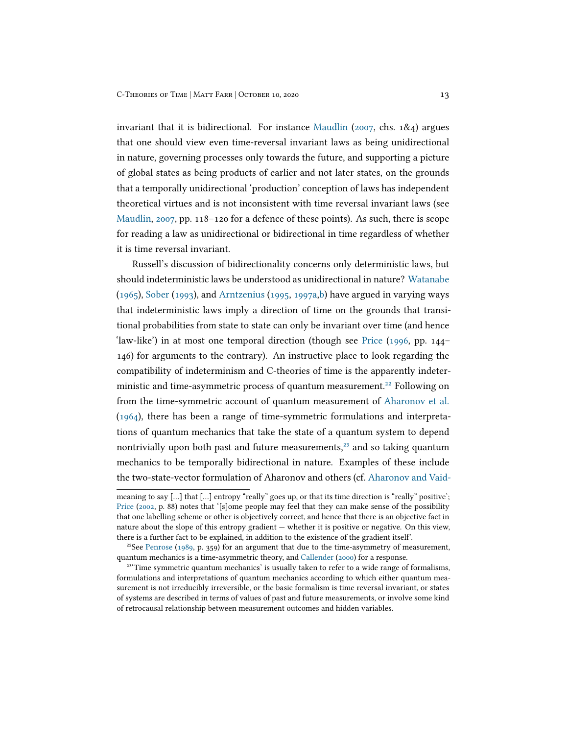invariant that it is bidirectional. For instance [Maudlin](#page-28-7) [\(2007,](#page-28-7) chs. 1&4) argues that one should view even time-reversal invariant laws as being unidirectional in nature, governing processes only towards the future, and supporting a picture of global states as being products of earlier and not later states, on the grounds that a temporally unidirectional 'production' conception of laws has independent theoretical virtues and is not inconsistent with time reversal invariant laws (see [Maudlin](#page-28-7), [2007](#page-28-7), pp. 118–120 for a defence of these points). As such, there is scope for reading a law as unidirectional or bidirectional in time regardless of whether it is time reversal invariant.

Russell's discussion of bidirectionality concerns only deterministic laws, but should indeterministic laws be understood as unidirectional in nature? [Watanabe](#page-32-2) ([1965](#page-32-2)), [Sober](#page-31-7) [\(1993\)](#page-31-7), and [Arntzenius](#page-24-5) [\(1995,](#page-24-5) [1997a](#page-24-11)[,b\)](#page-24-12) have argued in varying ways that indeterministic laws imply a direction of time on the grounds that transitional probabilities from state to state can only be invariant over time (and hence 'law-like') in at most one temporal direction (though see [Price](#page-30-0) ([1996](#page-30-0), pp. 144– 146) for arguments to the contrary). An instructive place to look regarding the compatibility of indeterminism and C-theories of time is the apparently indeterministic and time-asymmetric process of quantum measurement.<sup>22</sup> Following on from the time-symmetric account of quantum measurement of [Aharonov et al.](#page-23-1) ([1964](#page-23-1)), there has been a range of time-symmetric formulations and interpretations of quantum mechanics that take the state of a quantum system to depend nontrivially upon both past and future measurements,<sup>23</sup> and so taking quantum mechanics to be temporally bidirectional in nature. Examples of these include the two-state-vector formulation of Aharonov and others (cf. [Aharonov and Vaid-](#page-23-2)

[meaning to say \[…\] that \[…\] entropy "really" goes up, or that its time direction is "really" positive';](#page-23-2) [Price](#page-23-2) ([2002](#page-30-2), p. 88) notes that '[s]ome people may feel that they can make sense of the possibility that one labelling scheme or other is objectively correct, and hence that there is an objective fact in nature about the slope of this entropy gradient — whether it is positive or negative. On this view, there is a further fact to be explained, in addition to the existence of the gradient itself'.

<span id="page-12-0"></span> $2^{2}$ See [Penrose](#page-29-8) [\(1989](#page-29-8), p. 359) for an argument that due to the time-asymmetry of measurement, quantum mechanics is a time-asymmetric theory, and [Callender](#page-25-6) ([2000](#page-25-6)) for a response.

<span id="page-12-1"></span> $23^{\circ}$ Time symmetric quantum mechanics' is usually taken to refer to a wide range of formalisms, formulations and interpretations of quantum mechanics according to which either quantum measurement is not irreducibly irreversible, or the basic formalism is time reversal invariant, or states of systems are described in terms of values of past and future measurements, or involve some kind of retrocausal relationship between measurement outcomes and hidden variables.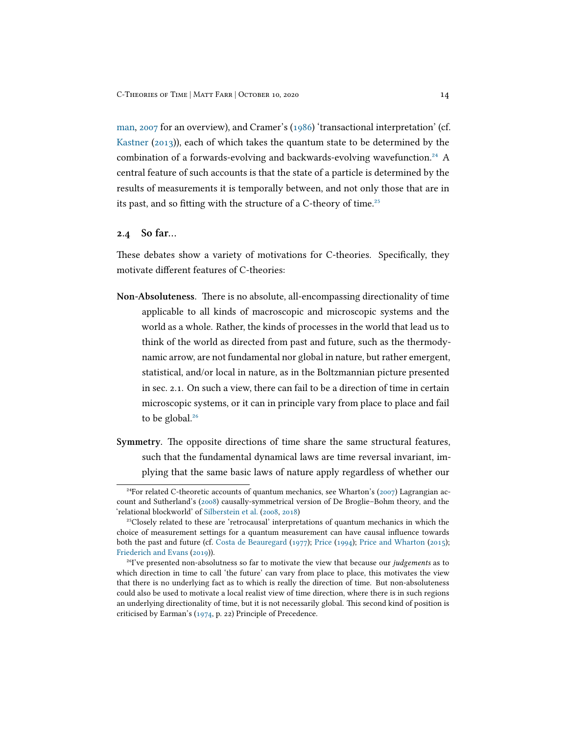man, [2007](#page-23-2)for an overview), and Cramer's ([1986](#page-25-7)) 'transactional interpretation' (cf. [Kastner](#page-27-10) ([2013\)](#page-27-10)), each of which takes the quantum state to be determined by the combination of a forwards-evolving and backwards-evolving wavefunction.<sup>24</sup> A central feature of such accounts is that the state of a particle is determined by the results of measurements it is temporally between, and not only those that are in its past, and so fitting with the structure of a C-theory of time. $25$ 

### **2.4 So far…**

These debates show a variety of motivations for C-theories. Specifically, they motivate different features of C-theories:

- **Non-Absoluteness.** There is no absolute, all-encompassing directionality of time applicable to all kinds of macroscopic and microscopic systems and the world as a whole. Rather, the kinds of processes in the world that lead us to think of the world as directed from past and future, such as the thermodynamic arrow, are not fundamental nor global in nature, but rather emergent, statistical, and/or local in nature, as in the Boltzmannian picture presented in sec. 2.1. On such a view, there can fail to be a direction of time in certain microscopic systems, or it can in principle vary from place to place and fail to be global.<sup>26</sup>
- **Symmetry.** The opposite directions of time share the same structural features, such that the fundamental dynamical laws are time reversal invariant, implying that the same basic laws of nature apply regardless of whether our

<span id="page-13-0"></span><sup>&</sup>lt;sup>24</sup>For related C-theoretic accounts of quantum mechanics, see Wharton's ( $2007$ ) Lagrangian account and Sutherland's([2008](#page-31-8)) causally-symmetrical version of De Broglie–Bohm theory, and the 'relational blockworld' of [Silberstein et al.](#page-31-9) [\(2008,](#page-31-9) [2018\)](#page-31-10)

<span id="page-13-1"></span> $^{25}$ Closely related to these are 'retrocausal' interpretations of quantum mechanics in which the choice of measurement settings for a quantum measurement can have causal influence towards both the past and future (cf. [Costa de Beauregard](#page-25-8) ([1977\)](#page-25-8); [Price](#page-29-4) [\(1994\)](#page-29-4); [Price and Wharton](#page-30-7) ([2015](#page-30-7)); [Friederich and Evans](#page-26-10) ([2019](#page-26-10))).

<span id="page-13-2"></span>²⁶I've presented non-absolutness so far to motivate the view that because our *judgements* as to which direction in time to call 'the future' can vary from place to place, this motivates the view that there is no underlying fact as to which is really the direction of time. But non-absoluteness could also be used to motivate a local realist view of time direction, where there is in such regions an underlying directionality of time, but it is not necessarily global. This second kind of position is criticised by Earman's([1974,](#page-25-2) p. 22) Principle of Precedence.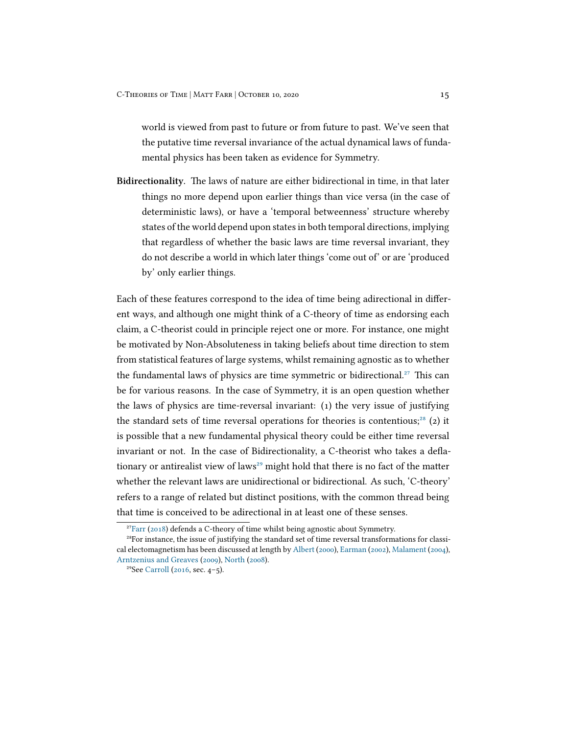world is viewed from past to future or from future to past. We've seen that the putative time reversal invariance of the actual dynamical laws of fundamental physics has been taken as evidence for Symmetry.

**Bidirectionality.** The laws of nature are either bidirectional in time, in that later things no more depend upon earlier things than vice versa (in the case of deterministic laws), or have a 'temporal betweenness' structure whereby states of the world depend upon states in both temporal directions, implying that regardless of whether the basic laws are time reversal invariant, they do not describe a world in which later things 'come out of' or are 'produced by' only earlier things.

Each of these features correspond to the idea of time being adirectional in different ways, and although one might think of a C-theory of time as endorsing each claim, a C-theorist could in principle reject one or more. For instance, one might be motivated by Non-Absoluteness in taking beliefs about time direction to stem from statistical features of large systems, whilst remaining agnostic as to whether the fundamental laws of physics are time symmetric or bidirectional.<sup>27</sup> This can be for various reasons. In the case of Symmetry, it is an open question whether the laws of physics are time-reversal invariant: (1) the very issue of justifying the standard sets of time reversal operations for theories is contentious;<sup>28</sup> (2) it is possible that a new fundamental physical theory could be either time reversal invariant or not. In the case of Bidirectionality, a C-theorist who takes a deflationary or antirealist view of laws<sup>29</sup> might hold that there is no fact of the matter whether the relevant laws are unidirectional or bidirectional. As such, 'C-theory' refers to a range of related but distinct positions, with the common thread being that time is conceived to be adirectional in at least one of these senses.

<span id="page-14-1"></span><span id="page-14-0"></span><sup>&</sup>lt;sup>27</sup>[Farr](#page-26-3) ([2018\)](#page-26-3) defends a C-theory of time whilst being agnostic about Symmetry.

<sup>&</sup>lt;sup>28</sup>For instance, the issue of justifying the standard set of time reversal transformations for classical electomagnetism has been discussed at length by [Albert](#page-24-2) ([2000](#page-24-2)), [Earman](#page-25-9) ([2002](#page-25-9)), [Malament](#page-28-10) [\(2004\)](#page-28-10), [Arntzenius and Greaves](#page-24-7) ([2009](#page-24-7)), [North](#page-29-3) ([2008\)](#page-29-3).

<span id="page-14-2"></span><sup>&</sup>lt;sup>29</sup>See [Carroll](#page-25-10) [\(2016,](#page-25-10) sec.  $4-5$ ).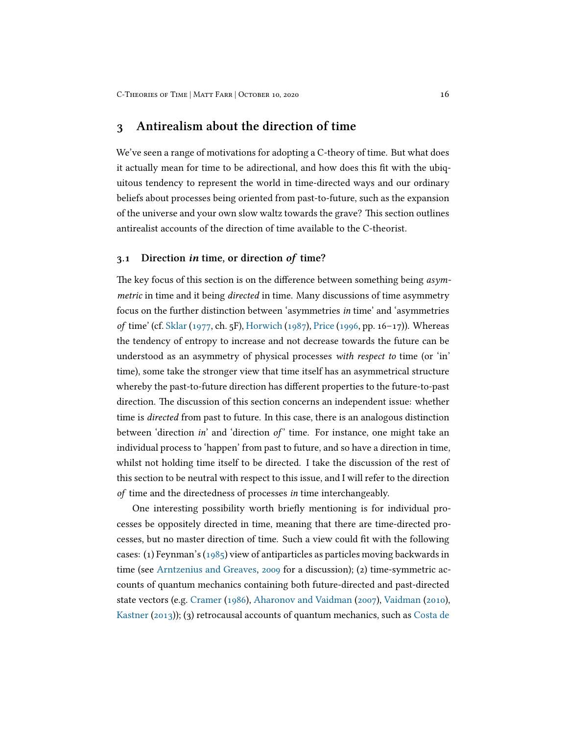### **3 Antirealism about the direction of time**

We've seen a range of motivations for adopting a C-theory of time. But what does it actually mean for time to be adirectional, and how does this fit with the ubiquitous tendency to represent the world in time-directed ways and our ordinary beliefs about processes being oriented from past-to-future, such as the expansion of the universe and your own slow waltz towards the grave? This section outlines antirealist accounts of the direction of time available to the C-theorist.

### **3.1 Direction** *in* **time, or direction** *of* **time?**

The key focus of this section is on the difference between something being *asymmetric* in time and it being *directed* in time. Many discussions of time asymmetry focus on the further distinction between 'asymmetries *in* time' and 'asymmetries *of* time' (cf. [Sklar](#page-31-11) [\(1977](#page-31-11), ch. 5F), [Horwich](#page-27-7) ([1987](#page-27-7)), [Price](#page-30-0) ([1996](#page-30-0), pp. 16–17)). Whereas the tendency of entropy to increase and not decrease towards the future can be understood as an asymmetry of physical processes *with respect to* time (or 'in' time), some take the stronger view that time itself has an asymmetrical structure whereby the past-to-future direction has different properties to the future-to-past direction. The discussion of this section concerns an independent issue: whether time is *directed* from past to future. In this case, there is an analogous distinction between 'direction *in*' and 'direction *of* ' time. For instance, one might take an individual process to 'happen' from past to future, and so have a direction in time, whilst not holding time itself to be directed. I take the discussion of the rest of this section to be neutral with respect to this issue, and I will refer to the direction *of* time and the directedness of processes *in* time interchangeably.

One interesting possibility worth briefly mentioning is for individual processes be oppositely directed in time, meaning that there are time-directed processes, but no master direction of time. Such a view could fit with the following cases: (1) Feynman's([1985](#page-26-11)) view of antiparticles as particles moving backwards in time (see [Arntzenius and Greaves,](#page-24-7) [2009](#page-24-7) for a discussion); (2) time-symmetric accounts of quantum mechanics containing both future-directed and past-directed state vectors (e.g. [Cramer](#page-25-7) ([1986](#page-25-7)), [Aharonov and Vaidman](#page-23-2) ([2007\)](#page-23-2), [Vaidman](#page-32-4) ([2010](#page-32-4)), [Kastner](#page-27-10) ([2013](#page-27-10))); (3) retrocausal accounts of quantum mechanics, such as [Costa de](#page-25-8)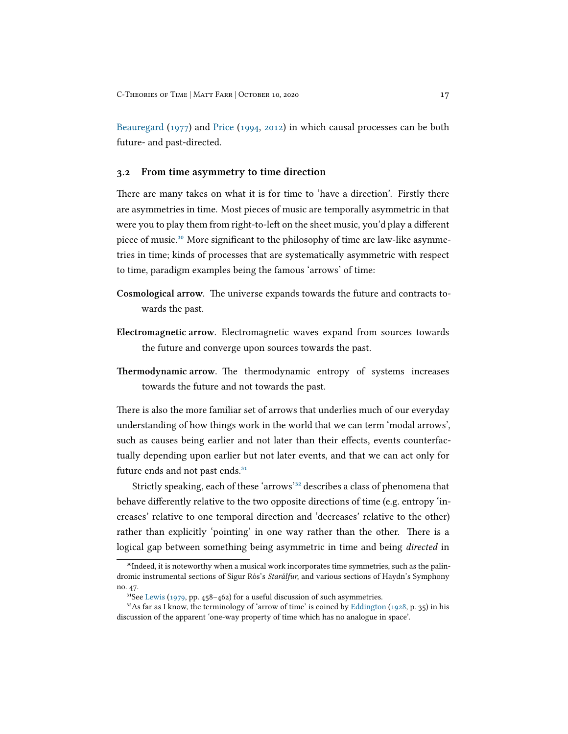[Beauregard](#page-25-8) [\(1977\)](#page-25-8) and [Price](#page-29-4) ([1994](#page-29-4), [2012](#page-30-8)) in which causal processes can be both future- and past-directed.

### <span id="page-16-0"></span>**3.2 From time asymmetry to time direction**

There are many takes on what it is for time to 'have a direction'. Firstly there are asymmetries in time. Most pieces of music are temporally asymmetric in that were you to play them from right-to-left on the sheet music, you'd play a different piece of music.<sup>30</sup> More significant to the philosophy of time are law-like asymmetries in time; kinds of processes that are systematically asymmetric with respect to time, paradigm examples being the famous 'arrows' of time:

- **Cosmological arrow.** The universe expands towards the future and contracts towards the past.
- **Electromagnetic arrow.** Electromagnetic waves expand from sources towards the future and converge upon sources towards the past.
- **Thermodynamic arrow.** The thermodynamic entropy of systems increases towards the future and not towards the past.

There is also the more familiar set of arrows that underlies much of our everyday understanding of how things work in the world that we can term 'modal arrows', such as causes being earlier and not later than their effects, events counterfactually depending upon earlier but not later events, and that we can act only for future ends and not past ends.<sup>31</sup>

Strictly speaking, each of these 'arrows'<sup>32</sup> describes a class of phenomena that behave differently relative to the two opposite directions of time (e.g. entropy 'increases' relative to one temporal direction and 'decreases' relative to the other) rather than explicitly 'pointing' in one way rather than the other. There is a logical gap between something being asymmetric in time and being *directed* in

<span id="page-16-1"></span><sup>&</sup>lt;sup>30</sup>Indeed, it is noteworthy when a musical work incorporates time symmetries, such as the palindromic instrumental sections of Sigur Rós's *Starálfur*, and various sections of Haydn's Symphony no. 47.

<span id="page-16-3"></span><span id="page-16-2"></span> $31$ See [Lewis](#page-28-11) ([1979,](#page-28-11) pp. 458–462) for a useful discussion of such asymmetries.

<sup>&</sup>lt;sup>32</sup>As far as I know, the terminology of 'arrow of time' is coined by [Eddington](#page-26-12) [\(1928](#page-26-12), p. 35) in his discussion of the apparent 'one-way property of time which has no analogue in space'.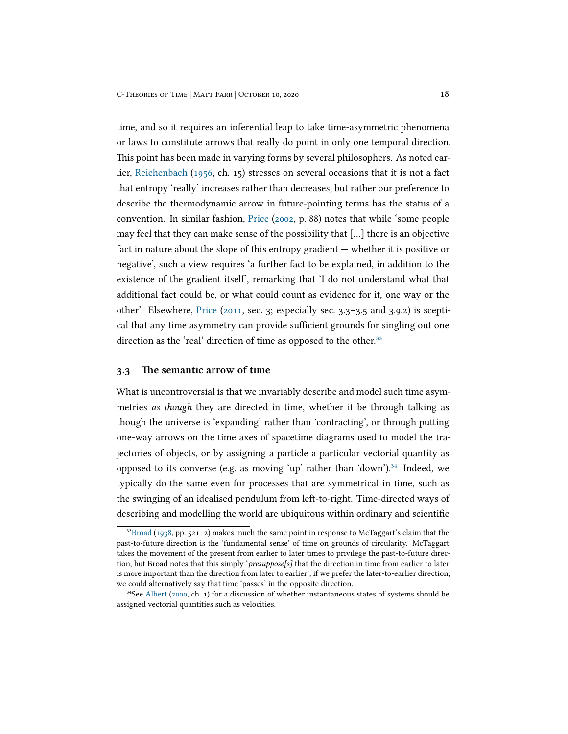time, and so it requires an inferential leap to take time-asymmetric phenomena or laws to constitute arrows that really do point in only one temporal direction. This point has been made in varying forms by several philosophers. As noted earlier, [Reichenbach](#page-31-2) ([1956](#page-31-2), ch. 15) stresses on several occasions that it is not a fact that entropy 'really' increases rather than decreases, but rather our preference to describe the thermodynamic arrow in future-pointing terms has the status of a convention. In similar fashion, [Price](#page-30-2) [\(2002,](#page-30-2) p. 88) notes that while 'some people may feel that they can make sense of the possibility that […] there is an objective fact in nature about the slope of this entropy gradient — whether it is positive or negative', such a view requires 'a further fact to be explained, in addition to the existence of the gradient itself', remarking that 'I do not understand what that additional fact could be, or what could count as evidence for it, one way or the other'. Elsewhere, [Price](#page-30-1) ([2011](#page-30-1), sec. 3; especially sec. 3.3–3.5 and 3.9.2) is sceptical that any time asymmetry can provide sufficient grounds for singling out one direction as the 'real' direction of time as opposed to the other.<sup>33</sup>

### **3.3 The semantic arrow of time**

What is uncontroversial is that we invariably describe and model such time asymmetries *as though* they are directed in time, whether it be through talking as though the universe is 'expanding' rather than 'contracting', or through putting one-way arrows on the time axes of spacetime diagrams used to model the trajectories of objects, or by assigning a particle a particular vectorial quantity as opposed to its converse (e.g. as moving 'up' rather than 'down'). $34$  Indeed, we typically do the same even for processes that are symmetrical in time, such as the swinging of an idealised pendulum from left-to-right. Time-directed ways of describing and modelling the world are ubiquitous within ordinary and scientific

<span id="page-17-0"></span><sup>&</sup>lt;sup>33</sup>[Broad](#page-25-11) [\(1938](#page-25-11), pp. 521–2) makes much the same point in response to McTaggart's claim that the past-to-future direction is the 'fundamental sense' of time on grounds of circularity. McTaggart takes the movement of the present from earlier to later times to privilege the past-to-future direction, but Broad notes that this simply '*presuppose[s]* that the direction in time from earlier to later is more important than the direction from later to earlier'; if we prefer the later-to-earlier direction, we could alternatively say that time 'passes' in the opposite direction.

<span id="page-17-1"></span> $34$ See [Albert](#page-24-2) [\(2000,](#page-24-2) ch. 1) for a discussion of whether instantaneous states of systems should be assigned vectorial quantities such as velocities.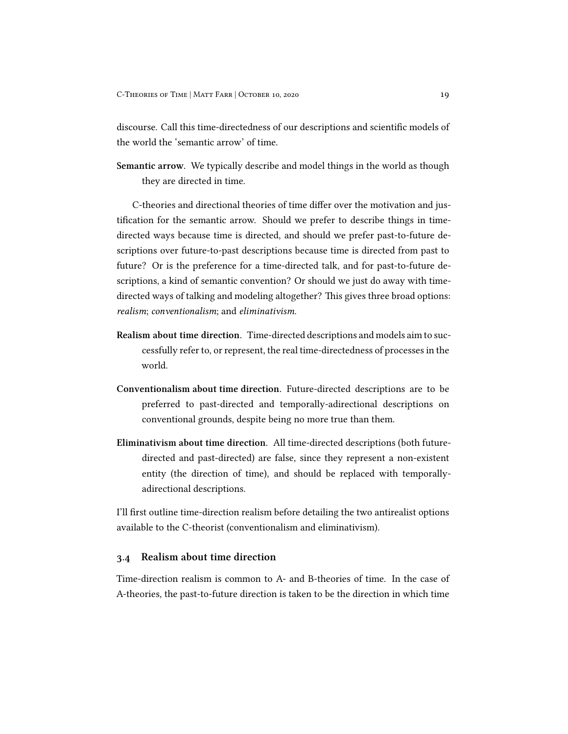discourse. Call this time-directedness of our descriptions and scientific models of the world the 'semantic arrow' of time.

**Semantic arrow.** We typically describe and model things in the world as though they are directed in time.

C-theories and directional theories of time differ over the motivation and justification for the semantic arrow. Should we prefer to describe things in timedirected ways because time is directed, and should we prefer past-to-future descriptions over future-to-past descriptions because time is directed from past to future? Or is the preference for a time-directed talk, and for past-to-future descriptions, a kind of semantic convention? Or should we just do away with timedirected ways of talking and modeling altogether? This gives three broad options: *realism*; *conventionalism*; and *eliminativism*.

- **Realism about time direction.** Time-directed descriptions and models aim to successfully refer to, or represent, the real time-directedness of processes in the world.
- **Conventionalism about time direction.** Future-directed descriptions are to be preferred to past-directed and temporally-adirectional descriptions on conventional grounds, despite being no more true than them.
- **Eliminativism about time direction.** All time-directed descriptions (both futuredirected and past-directed) are false, since they represent a non-existent entity (the direction of time), and should be replaced with temporallyadirectional descriptions.

I'll first outline time-direction realism before detailing the two antirealist options available to the C-theorist (conventionalism and eliminativism).

### **3.4 Realism about time direction**

Time-direction realism is common to A- and B-theories of time. In the case of A-theories, the past-to-future direction is taken to be the direction in which time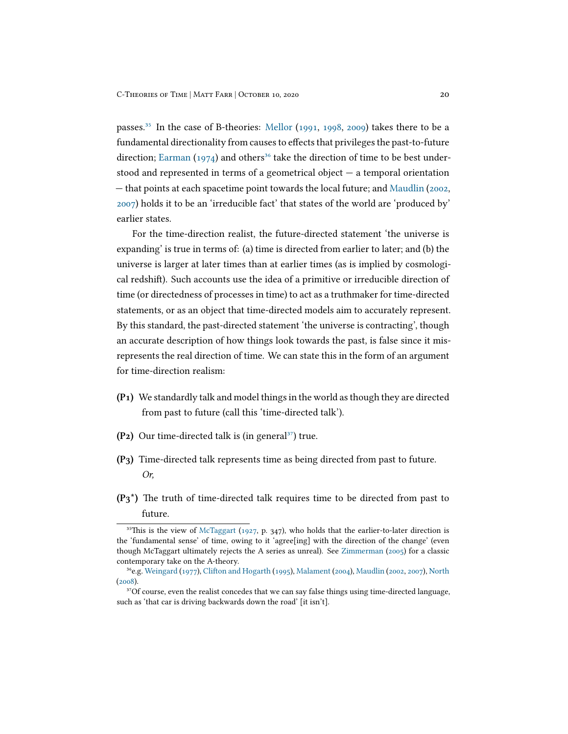passes.<sup>35</sup> In the case of B-theories: [Mellor](#page-29-9) ([1991](#page-29-9), [1998](#page-29-10), [2009](#page-29-11)) takes there to be a fundamental directionality from causes to effects that privileges the past-to-future direction; [Earman](#page-25-2) ([1974](#page-25-2)) and others<sup>36</sup> take the direction of time to be best understood and represented in terms of a geometrical object — a temporal orientation — that points at each spacetime point towards the local future; and [Maudlin](#page-28-12) ([2002](#page-28-12), [2007](#page-28-7)) holds it to be an 'irreducible fact' that states of the world are 'produced by' earlier states.

For the time-direction realist, the future-directed statement 'the universe is expanding' is true in terms of: (a) time is directed from earlier to later; and (b) the universe is larger at later times than at earlier times (as is implied by cosmological redshift). Such accounts use the idea of a primitive or irreducible direction of time (or directedness of processes in time) to act as a truthmaker for time-directed statements, or as an object that time-directed models aim to accurately represent. By this standard, the past-directed statement 'the universe is contracting', though an accurate description of how things look towards the past, is false since it misrepresents the real direction of time. We can state this in the form of an argument for time-direction realism:

- **(P1)** We standardly talk and model things in the world as though they are directed from past to future (call this 'time-directed talk').
- **(P2)** Our time-directed talk is (in general $37$ ) true.
- **(P3)** Time-directed talk represents time as being directed from past to future. *Or,*
- **(P3\*)** The truth of time-directed talk requires time to be directed from past to future.

<span id="page-19-0"></span> $35$ This is the view of [McTaggart](#page-28-3) [\(1927,](#page-28-3) p. 347), who holds that the earlier-to-later direction is the 'fundamental sense' of time, owing to it 'agree[ing] with the direction of the change' (even though McTaggart ultimately rejects the A series as unreal). See [Zimmerman](#page-32-5) ([2005](#page-32-5)) for a classic contemporary take on the A-theory.

<span id="page-19-1"></span><sup>&</sup>lt;sup>36</sup>e.g. [Weingard](#page-32-6) ([1977\)](#page-32-6), [Clifton and Hogarth](#page-25-12) [\(1995](#page-25-12)), [Malament](#page-28-10) ([2004\)](#page-28-10), [Maudlin](#page-28-12) [\(2002,](#page-28-12) [2007](#page-28-7)), [North](#page-29-3) [\(2008\)](#page-29-3).

<span id="page-19-2"></span><sup>&</sup>lt;sup>37</sup>Of course, even the realist concedes that we can say false things using time-directed language, such as 'that car is driving backwards down the road' [it isn't].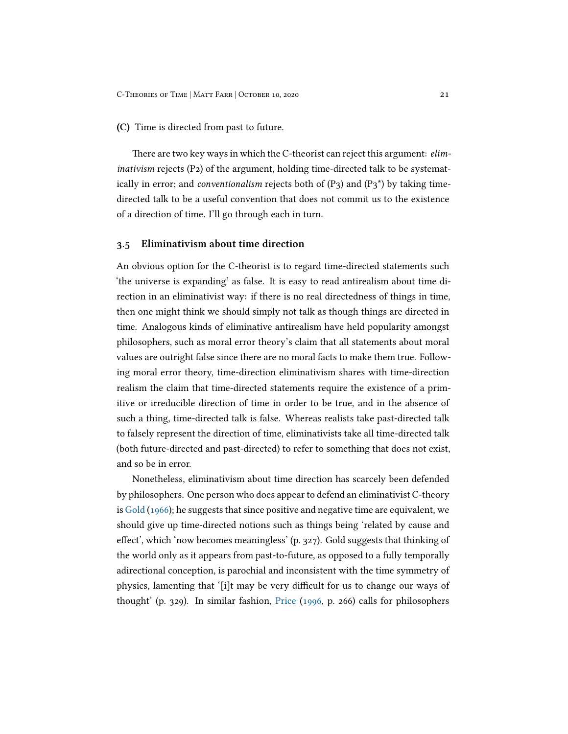### **(C)** Time is directed from past to future.

There are two key ways in which the C-theorist can reject this argument: *eliminativism* rejects (P2) of the argument, holding time-directed talk to be systematically in error; and *conventionalism* rejects both of (P<sub>3</sub>) and (P<sub>3</sub><sup>\*</sup>) by taking timedirected talk to be a useful convention that does not commit us to the existence of a direction of time. I'll go through each in turn.

### **3.5 Eliminativism about time direction**

An obvious option for the C-theorist is to regard time-directed statements such 'the universe is expanding' as false. It is easy to read antirealism about time direction in an eliminativist way: if there is no real directedness of things in time, then one might think we should simply not talk as though things are directed in time. Analogous kinds of eliminative antirealism have held popularity amongst philosophers, such as moral error theory's claim that all statements about moral values are outright false since there are no moral facts to make them true. Following moral error theory, time-direction eliminativism shares with time-direction realism the claim that time-directed statements require the existence of a primitive or irreducible direction of time in order to be true, and in the absence of such a thing, time-directed talk is false. Whereas realists take past-directed talk to falsely represent the direction of time, eliminativists take all time-directed talk (both future-directed and past-directed) to refer to something that does not exist, and so be in error.

Nonetheless, eliminativism about time direction has scarcely been defended by philosophers. One person who does appear to defend an eliminativist C-theory is [Gold](#page-27-3) ([1966\)](#page-27-3); he suggests that since positive and negative time are equivalent, we should give up time-directed notions such as things being 'related by cause and effect', which 'now becomes meaningless' (p. 327). Gold suggests that thinking of the world only as it appears from past-to-future, as opposed to a fully temporally adirectional conception, is parochial and inconsistent with the time symmetry of physics, lamenting that '[i]t may be very difficult for us to change our ways of thought' (p. 329). In similar fashion, [Price](#page-30-0) [\(1996,](#page-30-0) p. 266) calls for philosophers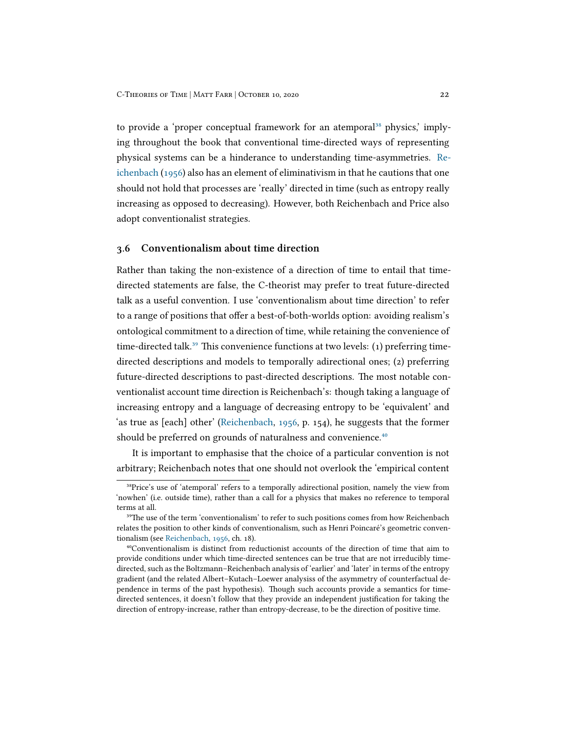to provide a 'proper conceptual framework for an atemporal<sup>38</sup> physics,' implying throughout the book that conventional time-directed ways of representing physical systems can be a hinderance to understanding time-asymmetries. [Re](#page-31-2)[ichenbach](#page-31-2) [\(1956\)](#page-31-2) also has an element of eliminativism in that he cautions that one should not hold that processes are 'really' directed in time (such as entropy really increasing as opposed to decreasing). However, both Reichenbach and Price also adopt conventionalist strategies.

#### **3.6 Conventionalism about time direction**

Rather than taking the non-existence of a direction of time to entail that timedirected statements are false, the C-theorist may prefer to treat future-directed talk as a useful convention. I use 'conventionalism about time direction' to refer to a range of positions that offer a best-of-both-worlds option: avoiding realism's ontological commitment to a direction of time, while retaining the convenience of time-directed talk.<sup>39</sup> This convenience functions at two levels: (1) preferring timedirected descriptions and models to temporally adirectional ones; (2) preferring future-directed descriptions to past-directed descriptions. The most notable conventionalist account time direction is Reichenbach's: though taking a language of increasing entropy and a language of decreasing entropy to be 'equivalent' and 'as true as [each] other' [\(Reichenbach,](#page-31-2) [1956](#page-31-2), p. 154), he suggests that the former should be preferred on grounds of naturalness and convenience.<sup>40</sup>

It is important to emphasise that the choice of a particular convention is not arbitrary; Reichenbach notes that one should not overlook the 'empirical content

<span id="page-21-0"></span><sup>&</sup>lt;sup>38</sup>Price's use of 'atemporal' refers to a temporally adirectional position, namely the view from 'nowhen' (i.e. outside time), rather than a call for a physics that makes no reference to temporal terms at all.

<span id="page-21-1"></span><sup>&</sup>lt;sup>39</sup>The use of the term 'conventionalism' to refer to such positions comes from how Reichenbach relates the position to other kinds of conventionalism, such as Henri Poincaré's geometric conventionalism (see [Reichenbach,](#page-31-2) [1956,](#page-31-2) ch. 18).

<span id="page-21-2"></span>⁴⁰Conventionalism is distinct from reductionist accounts of the direction of time that aim to provide conditions under which time-directed sentences can be true that are not irreducibly timedirected, such as the Boltzmann–Reichenbach analysis of 'earlier' and 'later' in terms of the entropy gradient (and the related Albert–Kutach–Loewer analysiss of the asymmetry of counterfactual dependence in terms of the past hypothesis). Though such accounts provide a semantics for timedirected sentences, it doesn't follow that they provide an independent justification for taking the direction of entropy-increase, rather than entropy-decrease, to be the direction of positive time.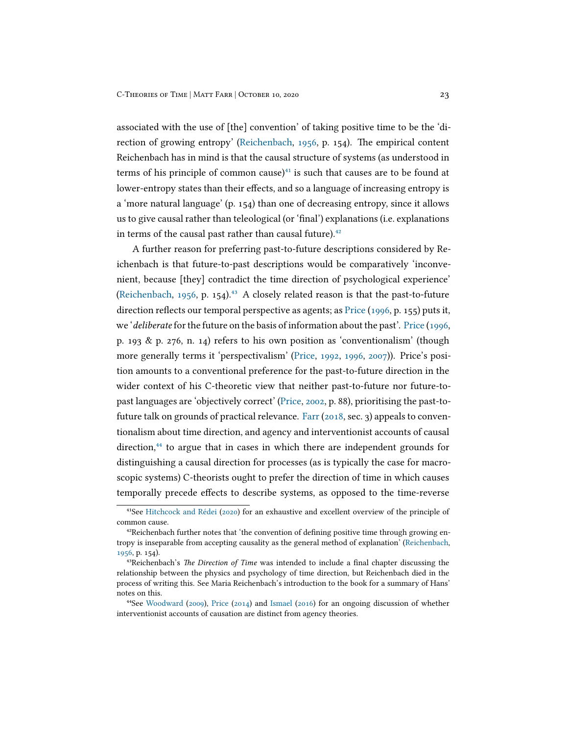associated with the use of [the] convention' of taking positive time to be the 'direction of growing entropy'([Reichenbach](#page-31-2), [1956](#page-31-2), p. 154). The empirical content Reichenbach has in mind is that the causal structure of systems (as understood in terms of his principle of common cause) $41$  is such that causes are to be found at lower-entropy states than their effects, and so a language of increasing entropy is a 'more natural language' (p. 154) than one of decreasing entropy, since it allows us to give causal rather than teleological (or 'final') explanations (i.e. explanations in terms of the causal past rather than causal future).<sup>42</sup>

A further reason for preferring past-to-future descriptions considered by Reichenbach is that future-to-past descriptions would be comparatively 'inconvenient, because [they] contradict the time direction of psychological experience' ([Reichenbach](#page-31-2), [1956](#page-31-2), p. 154). $43$  A closely related reason is that the past-to-future direction reflects our temporal perspective as agents; as [Price](#page-30-0) ([1996](#page-30-0), p. 155) puts it, we '*deliberate* for the future on the basis of information about the past'. [Price](#page-30-0) ([1996](#page-30-0), p. 193 & p. 276, n. 14) refers to his own position as 'conventionalism' (though more generally terms it 'perspectivalism' [\(Price,](#page-29-12) [1992,](#page-29-12) [1996](#page-30-0), [2007](#page-30-9))). Price's position amounts to a conventional preference for the past-to-future direction in the wider context of his C-theoretic view that neither past-to-future nor future-topast languages are 'objectively correct' [\(Price,](#page-30-2) [2002,](#page-30-2) p. 88), prioritising the past-tofuture talk on grounds of practical relevance. [Farr](#page-26-3) ([2018](#page-26-3), sec. 3) appeals to conventionalism about time direction, and agency and interventionist accounts of causal direction, $44$  to argue that in cases in which there are independent grounds for distinguishing a causal direction for processes (as is typically the case for macroscopic systems) C-theorists ought to prefer the direction of time in which causes temporally precede effects to describe systems, as opposed to the time-reverse

<span id="page-22-0"></span><sup>&</sup>lt;sup>41</sup>See [Hitchcock and Rédei](#page-27-11) [\(2020](#page-27-11)) for an exhaustive and excellent overview of the principle of common cause.

<span id="page-22-1"></span> $^{42}$ Reichenbach further notes that 'the convention of defining positive time through growing entropy is inseparable from accepting causality as the general method of explanation' [\(Reichenbach](#page-31-2), [1956](#page-31-2), p. 154).

<span id="page-22-2"></span>⁴³Reichenbach's *The Direction of Time* was intended to include a final chapter discussing the relationship between the physics and psychology of time direction, but Reichenbach died in the process of writing this. See Maria Reichenbach's introduction to the book for a summary of Hans' notes on this.

<span id="page-22-3"></span><sup>&</sup>lt;sup>44</sup>See [Woodward](#page-32-7) [\(2009](#page-32-7)), [Price](#page-30-10) [\(2014](#page-30-10)) and [Ismael](#page-27-12) [\(2016\)](#page-27-12) for an ongoing discussion of whether interventionist accounts of causation are distinct from agency theories.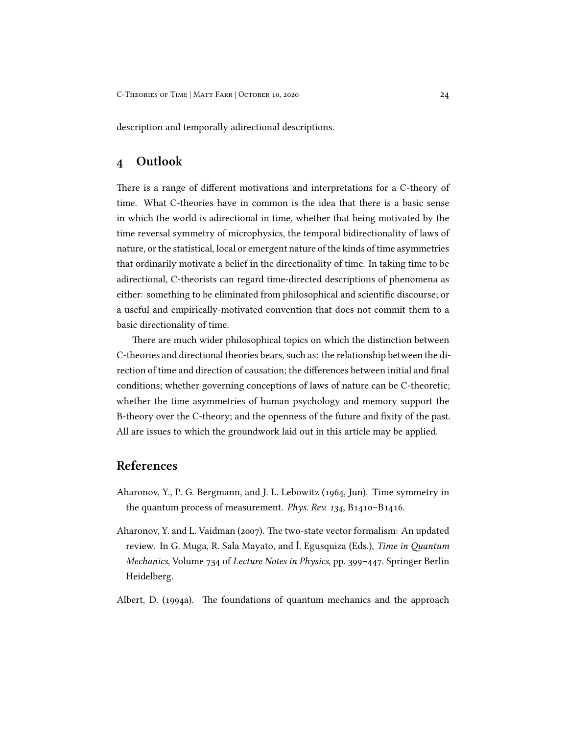description and temporally adirectional descriptions.

### **4 Outlook**

There is a range of different motivations and interpretations for a C-theory of time. What C-theories have in common is the idea that there is a basic sense in which the world is adirectional in time, whether that being motivated by the time reversal symmetry of microphysics, the temporal bidirectionality of laws of nature, or the statistical, local or emergent nature of the kinds of time asymmetries that ordinarily motivate a belief in the directionality of time. In taking time to be adirectional, C-theorists can regard time-directed descriptions of phenomena as either: something to be eliminated from philosophical and scientific discourse; or a useful and empirically-motivated convention that does not commit them to a basic directionality of time.

There are much wider philosophical topics on which the distinction between C-theories and directional theories bears, such as: the relationship between the direction of time and direction of causation; the differences between initial and final conditions; whether governing conceptions of laws of nature can be C-theoretic; whether the time asymmetries of human psychology and memory support the B-theory over the C-theory; and the openness of the future and fixity of the past. All are issues to which the groundwork laid out in this article may be applied.

### **References**

- <span id="page-23-1"></span>Aharonov, Y., P. G. Bergmann, and J. L. Lebowitz (1964, Jun). Time symmetry in the quantum process of measurement. *Phys. Rev. 134*, B1410–B1416.
- <span id="page-23-2"></span>Aharonov, Y. and L. Vaidman (2007). The two-state vector formalism: An updated review. In G. Muga, R. Sala Mayato, and Í. Egusquiza (Eds.), *Time in Quantum Mechanics*, Volume 734 of *Lecture Notes in Physics*, pp. 399–447. Springer Berlin Heidelberg.
- <span id="page-23-0"></span>Albert, D. (1994a). The foundations of quantum mechanics and the approach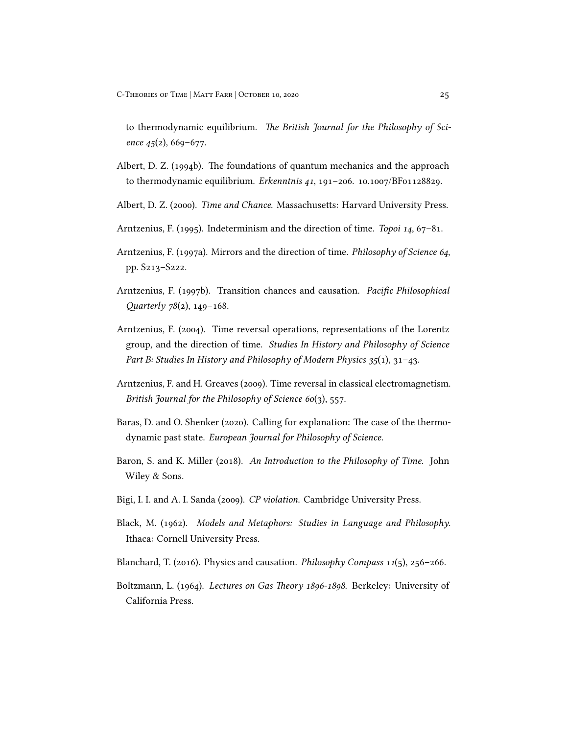to thermodynamic equilibrium. *The British Journal for the Philosophy of Science 45*(2), 669–677.

- <span id="page-24-4"></span>Albert, D. Z. (1994b). The foundations of quantum mechanics and the approach to thermodynamic equilibrium. *Erkenntnis 41*, 191–206. 10.1007/BF01128829.
- <span id="page-24-2"></span>Albert, D. Z. (2000). *Time and Chance*. Massachusetts: Harvard University Press.
- <span id="page-24-5"></span>Arntzenius, F. (1995). Indeterminism and the direction of time. *Topoi 14*, 67–81.
- <span id="page-24-11"></span>Arntzenius, F. (1997a). Mirrors and the direction of time. *Philosophy of Science 64*, pp. S213–S222.
- <span id="page-24-12"></span>Arntzenius, F. (1997b). Transition chances and causation. *Pacific Philosophical Quarterly 78*(2), 149–168.
- <span id="page-24-6"></span>Arntzenius, F. (2004). Time reversal operations, representations of the Lorentz group, and the direction of time. *Studies In History and Philosophy of Science Part B: Studies In History and Philosophy of Modern Physics 35*(1), 31–43.
- <span id="page-24-7"></span>Arntzenius, F. and H. Greaves (2009). Time reversal in classical electromagnetism. *British Journal for the Philosophy of Science 60*(3), 557.
- <span id="page-24-3"></span>Baras, D. and O. Shenker (2020). Calling for explanation: The case of the thermodynamic past state. *European Journal for Philosophy of Science*.
- <span id="page-24-1"></span>Baron, S. and K. Miller (2018). *An Introduction to the Philosophy of Time*. John Wiley & Sons.
- <span id="page-24-8"></span>Bigi, I. I. and A. I. Sanda (2009). *CP violation*. Cambridge University Press.
- <span id="page-24-9"></span>Black, M. (1962). *Models and Metaphors: Studies in Language and Philosophy*. Ithaca: Cornell University Press.
- <span id="page-24-10"></span>Blanchard, T. (2016). Physics and causation. *Philosophy Compass 11*(5), 256–266.
- <span id="page-24-0"></span>Boltzmann, L. (1964). *Lectures on Gas Theory 1896-1898*. Berkeley: University of California Press.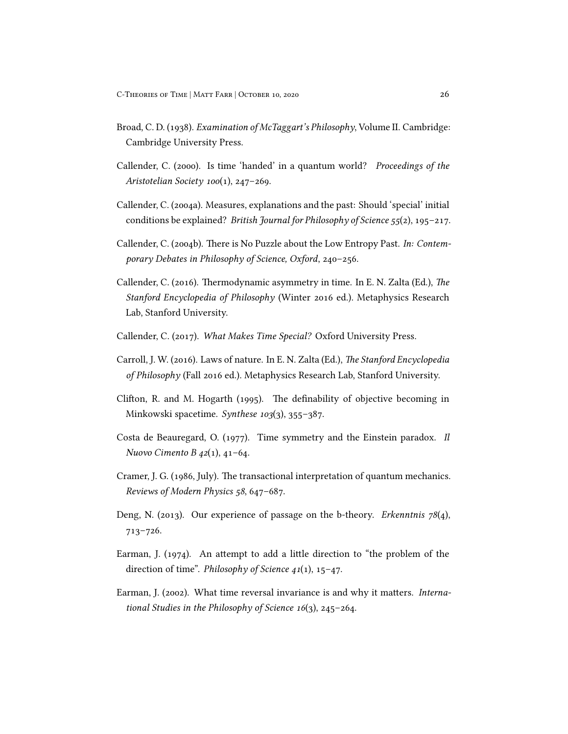- <span id="page-25-11"></span>Broad, C. D. (1938). *Examination of McTaggart's Philosophy*, Volume II. Cambridge: Cambridge University Press.
- <span id="page-25-6"></span>Callender, C. (2000). Is time 'handed' in a quantum world? *Proceedings of the Aristotelian Society 100*(1), 247–269.
- <span id="page-25-4"></span>Callender, C. (2004a). Measures, explanations and the past: Should 'special' initial conditions be explained? *British Journal for Philosophy of Science 55*(2), 195–217.
- <span id="page-25-5"></span>Callender, C. (2004b). There is No Puzzle about the Low Entropy Past. *In: Contemporary Debates in Philosophy of Science, Oxford*, 240–256.
- <span id="page-25-3"></span>Callender, C. (2016). Thermodynamic asymmetry in time. In E. N. Zalta (Ed.), *The Stanford Encyclopedia of Philosophy* (Winter 2016 ed.). Metaphysics Research Lab, Stanford University.
- <span id="page-25-1"></span>Callender, C. (2017). *What Makes Time Special?* Oxford University Press.
- <span id="page-25-10"></span>Carroll, J. W. (2016). Laws of nature. In E. N. Zalta (Ed.), *The Stanford Encyclopedia of Philosophy* (Fall 2016 ed.). Metaphysics Research Lab, Stanford University.
- <span id="page-25-12"></span>Clifton, R. and M. Hogarth (1995). The definability of objective becoming in Minkowski spacetime. *Synthese 103*(3), 355–387.
- <span id="page-25-8"></span>Costa de Beauregard, O. (1977). Time symmetry and the Einstein paradox. *Il Nuovo Cimento B 42*(1), 41–64.
- <span id="page-25-7"></span>Cramer, J. G. (1986, July). The transactional interpretation of quantum mechanics. *Reviews of Modern Physics 58*, 647–687.
- <span id="page-25-0"></span>Deng, N. (2013). Our experience of passage on the b-theory. *Erkenntnis 78*(4), 713–726.
- <span id="page-25-2"></span>Earman, J. (1974). An attempt to add a little direction to "the problem of the direction of time". *Philosophy of Science 41*(1), 15–47.
- <span id="page-25-9"></span>Earman, J. (2002). What time reversal invariance is and why it matters. *International Studies in the Philosophy of Science 16*(3), 245–264.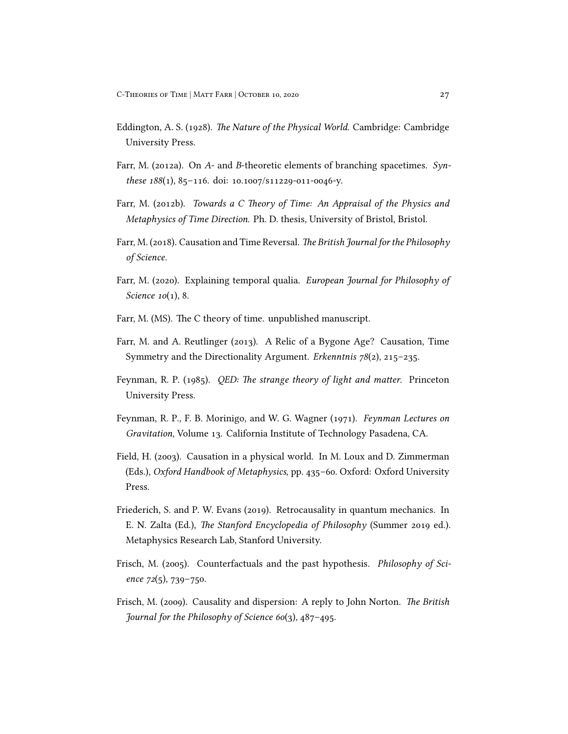- <span id="page-26-12"></span>Eddington, A. S. (1928). *The Nature of the Physical World*. Cambridge: Cambridge University Press.
- <span id="page-26-1"></span>Farr, M. (2012a). On *A*- and *B*-theoretic elements of branching spacetimes. *Synthese 188*(1), 85–116. doi: 10.1007/s11229-011-0046-y.
- <span id="page-26-2"></span>Farr, M. (2012b). *Towards a C Theory of Time: An Appraisal of the Physics and Metaphysics of Time Direction*. Ph. D. thesis, University of Bristol, Bristol.
- <span id="page-26-3"></span>Farr, M. (2018). Causation and Time Reversal. *The British Journal for the Philosophy of Science*.
- <span id="page-26-0"></span>Farr, M. (2020). Explaining temporal qualia. *European Journal for Philosophy of Science 10*(1), 8.
- <span id="page-26-4"></span>Farr, M. (MS). The C theory of time. unpublished manuscript.
- <span id="page-26-7"></span>Farr, M. and A. Reutlinger (2013). A Relic of a Bygone Age? Causation, Time Symmetry and the Directionality Argument. *Erkenntnis 78*(2), 215–235.
- <span id="page-26-11"></span>Feynman, R. P. (1985). *QED: The strange theory of light and matter*. Princeton University Press.
- <span id="page-26-5"></span>Feynman, R. P., F. B. Morinigo, and W. G. Wagner (1971). *Feynman Lectures on Gravitation*, Volume 13. California Institute of Technology Pasadena, CA.
- <span id="page-26-8"></span>Field, H. (2003). Causation in a physical world. In M. Loux and D. Zimmerman (Eds.), *Oxford Handbook of Metaphysics*, pp. 435–60. Oxford: Oxford University Press.
- <span id="page-26-10"></span>Friederich, S. and P. W. Evans (2019). Retrocausality in quantum mechanics. In E. N. Zalta (Ed.), *The Stanford Encyclopedia of Philosophy* (Summer 2019 ed.). Metaphysics Research Lab, Stanford University.
- <span id="page-26-6"></span>Frisch, M. (2005). Counterfactuals and the past hypothesis. *Philosophy of Science 72*(5), 739–750.
- <span id="page-26-9"></span>Frisch, M. (2009). Causality and dispersion: A reply to John Norton. *The British Journal for the Philosophy of Science 60*(3), 487–495.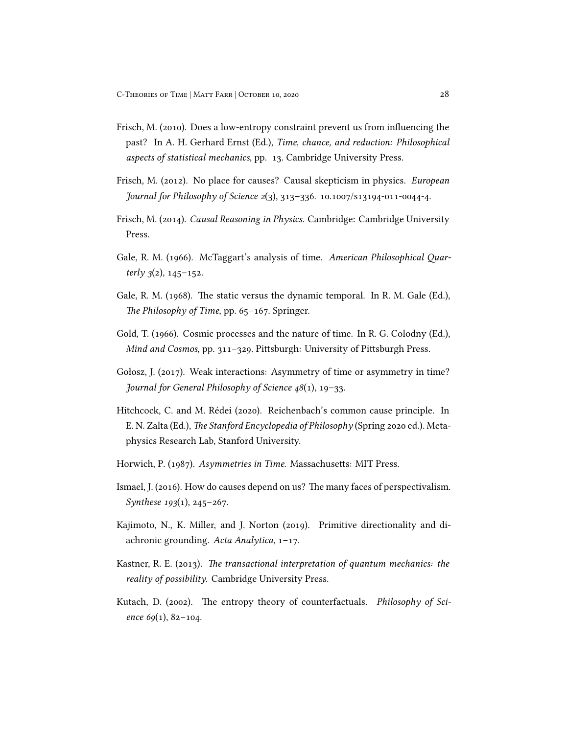- <span id="page-27-5"></span>Frisch, M. (2010). Does a low-entropy constraint prevent us from influencing the past? In A. H. Gerhard Ernst (Ed.), *Time, chance, and reduction: Philosophical aspects of statistical mechanics*, pp. 13. Cambridge University Press.
- <span id="page-27-9"></span>Frisch, M. (2012). No place for causes? Causal skepticism in physics. *European Journal for Philosophy of Science 2*(3), 313–336. 10.1007/s13194-011-0044-4.
- <span id="page-27-6"></span>Frisch, M. (2014). *Causal Reasoning in Physics*. Cambridge: Cambridge University Press.
- <span id="page-27-0"></span>Gale, R. M. (1966). McTaggart's analysis of time. *American Philosophical Quarterly 3*(2), 145–152.
- <span id="page-27-1"></span>Gale, R. M. (1968). The static versus the dynamic temporal. In R. M. Gale (Ed.), *The Philosophy of Time*, pp. 65–167. Springer.
- <span id="page-27-3"></span>Gold, T. (1966). Cosmic processes and the nature of time. In R. G. Colodny (Ed.), *Mind and Cosmos*, pp. 311–329. Pittsburgh: University of Pittsburgh Press.
- <span id="page-27-8"></span>Gołosz, J. (2017). Weak interactions: Asymmetry of time or asymmetry in time? *Journal for General Philosophy of Science 48*(1), 19–33.
- <span id="page-27-11"></span>Hitchcock, C. and M. Rédei (2020). Reichenbach's common cause principle. In E. N. Zalta (Ed.), *The Stanford Encyclopedia of Philosophy* (Spring 2020 ed.). Metaphysics Research Lab, Stanford University.
- <span id="page-27-7"></span>Horwich, P. (1987). *Asymmetries in Time*. Massachusetts: MIT Press.
- <span id="page-27-12"></span>Ismael, J. (2016). How do causes depend on us? The many faces of perspectivalism. *Synthese 193*(1), 245–267.
- <span id="page-27-2"></span>Kajimoto, N., K. Miller, and J. Norton (2019). Primitive directionality and diachronic grounding. *Acta Analytica*, 1–17.
- <span id="page-27-10"></span>Kastner, R. E. (2013). *The transactional interpretation of quantum mechanics: the reality of possibility*. Cambridge University Press.
- <span id="page-27-4"></span>Kutach, D. (2002). The entropy theory of counterfactuals. *Philosophy of Science 69*(1), 82–104.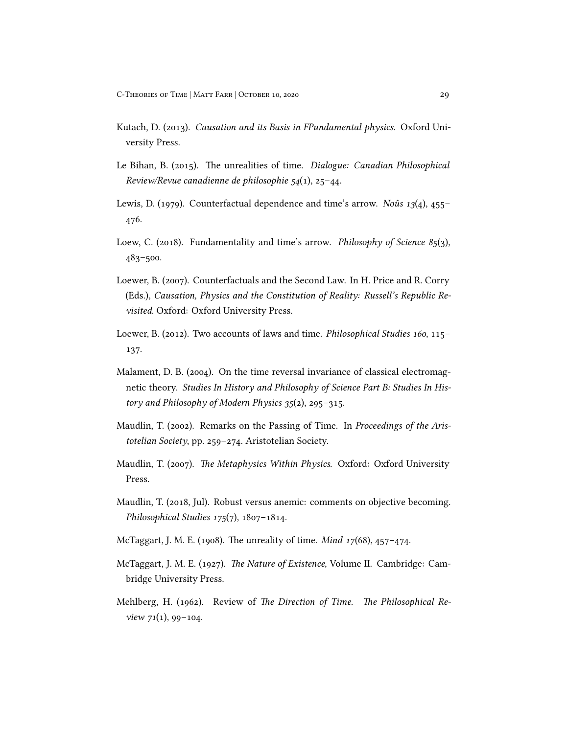- <span id="page-28-4"></span>Kutach, D. (2013). *Causation and its Basis in FPundamental physics*. Oxford University Press.
- <span id="page-28-1"></span>Le Bihan, B. (2015). The unrealities of time. *Dialogue: Canadian Philosophical Review/Revue canadienne de philosophie 54*(1), 25–44.
- <span id="page-28-11"></span>Lewis, D. (1979). Counterfactual dependence and time's arrow. *Noûs 13*(4), 455– 476.
- <span id="page-28-8"></span>Loew, C. (2018). Fundamentality and time's arrow. *Philosophy of Science 85*(3), 483–500.
- <span id="page-28-5"></span>Loewer, B. (2007). Counterfactuals and the Second Law. In H. Price and R. Corry (Eds.), *Causation, Physics and the Constitution of Reality: Russell's Republic Revisited*. Oxford: Oxford University Press.
- <span id="page-28-6"></span>Loewer, B. (2012). Two accounts of laws and time. *Philosophical Studies 160*, 115– 137.
- <span id="page-28-10"></span>Malament, D. B. (2004). On the time reversal invariance of classical electromagnetic theory. *Studies In History and Philosophy of Science Part B: Studies In History and Philosophy of Modern Physics 35*(2), 295–315.
- <span id="page-28-12"></span>Maudlin, T. (2002). Remarks on the Passing of Time. In *Proceedings of the Aristotelian Society*, pp. 259–274. Aristotelian Society.
- <span id="page-28-7"></span>Maudlin, T. (2007). *The Metaphysics Within Physics*. Oxford: Oxford University Press.
- <span id="page-28-2"></span>Maudlin, T. (2018, Jul). Robust versus anemic: comments on objective becoming. *Philosophical Studies 175*(7), 1807–1814.
- <span id="page-28-0"></span>McTaggart, J. M. E. (1908). The unreality of time. *Mind 17*(68), 457–474.
- <span id="page-28-3"></span>McTaggart, J. M. E. (1927). *The Nature of Existence*, Volume II. Cambridge: Cambridge University Press.
- <span id="page-28-9"></span>Mehlberg, H. (1962). Review of *The Direction of Time*. *The Philosophical Review 71*(1), 99–104.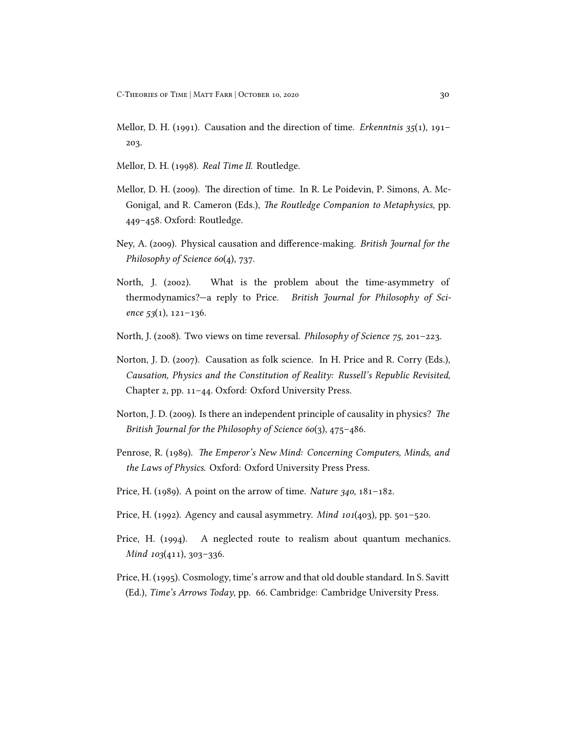- <span id="page-29-9"></span>Mellor, D. H. (1991). Causation and the direction of time. *Erkenntnis 35*(1), 191– 203.
- <span id="page-29-10"></span>Mellor, D. H. (1998). *Real Time II*. Routledge.
- <span id="page-29-11"></span>Mellor, D. H. (2009). The direction of time. In R. Le Poidevin, P. Simons, A. Mc-Gonigal, and R. Cameron (Eds.), *The Routledge Companion to Metaphysics*, pp. 449–458. Oxford: Routledge.
- <span id="page-29-7"></span>Ney, A. (2009). Physical causation and difference-making. *British Journal for the Philosophy of Science 60*(4), 737.
- <span id="page-29-0"></span>North, J. (2002). What is the problem about the time-asymmetry of thermodynamics?—a reply to Price. *British Journal for Philosophy of Science 53*(1), 121–136.
- <span id="page-29-3"></span>North, J. (2008). Two views on time reversal. *Philosophy of Science 75*, 201–223.
- <span id="page-29-5"></span>Norton, J. D. (2007). Causation as folk science. In H. Price and R. Corry (Eds.), *Causation, Physics and the Constitution of Reality: Russell's Republic Revisited*, Chapter 2, pp. 11–44. Oxford: Oxford University Press.
- <span id="page-29-6"></span>Norton, J. D. (2009). Is there an independent principle of causality in physics? *The British Journal for the Philosophy of Science 60*(3), 475–486.
- <span id="page-29-8"></span>Penrose, R. (1989). *The Emperor's New Mind: Concerning Computers, Minds, and the Laws of Physics*. Oxford: Oxford University Press Press.
- <span id="page-29-1"></span>Price, H. (1989). A point on the arrow of time. *Nature 340*, 181–182.
- <span id="page-29-12"></span>Price, H. (1992). Agency and causal asymmetry. *Mind 101*(403), pp. 501–520.
- <span id="page-29-4"></span>Price, H. (1994). A neglected route to realism about quantum mechanics. *Mind 103*(411), 303–336.
- <span id="page-29-2"></span>Price, H. (1995). Cosmology, time's arrow and that old double standard. In S. Savitt (Ed.), *Time's Arrows Today*, pp. 66. Cambridge: Cambridge University Press.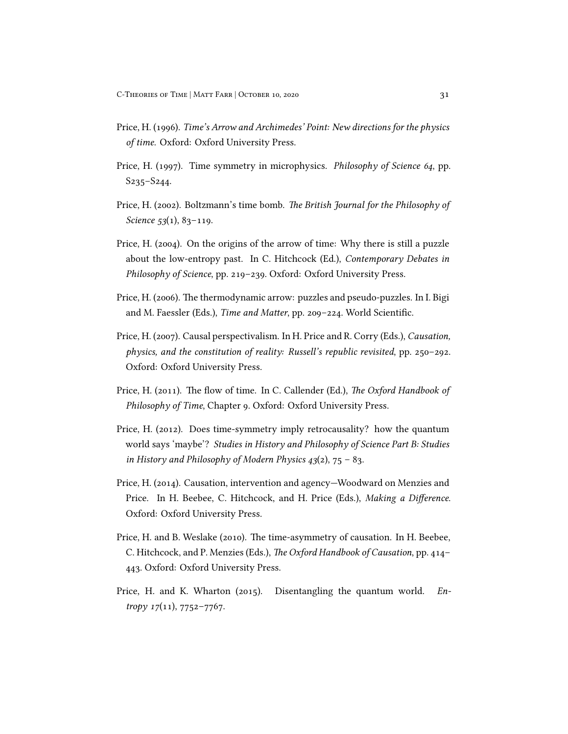- <span id="page-30-0"></span>Price, H. (1996). *Time's Arrow and Archimedes' Point: New directions for the physics of time*. Oxford: Oxford University Press.
- <span id="page-30-6"></span>Price, H. (1997). Time symmetry in microphysics. *Philosophy of Science 64*, pp. S235–S244.
- <span id="page-30-2"></span>Price, H. (2002). Boltzmann's time bomb. *The British Journal for the Philosophy of Science* 53(1), 83-119.
- <span id="page-30-3"></span>Price, H. (2004). On the origins of the arrow of time: Why there is still a puzzle about the low-entropy past. In C. Hitchcock (Ed.), *Contemporary Debates in Philosophy of Science*, pp. 219–239. Oxford: Oxford University Press.
- <span id="page-30-4"></span>Price, H. (2006). The thermodynamic arrow: puzzles and pseudo-puzzles. In I. Bigi and M. Faessler (Eds.), *Time and Matter*, pp. 209–224. World Scientific.
- <span id="page-30-9"></span>Price, H. (2007). Causal perspectivalism. In H. Price and R. Corry (Eds.), *Causation, physics, and the constitution of reality: Russell's republic revisited*, pp. 250–292. Oxford: Oxford University Press.
- <span id="page-30-1"></span>Price, H. (2011). The flow of time. In C. Callender (Ed.), *The Oxford Handbook of Philosophy of Time*, Chapter 9. Oxford: Oxford University Press.
- <span id="page-30-8"></span>Price, H. (2012). Does time-symmetry imply retrocausality? how the quantum world says 'maybe'? *Studies in History and Philosophy of Science Part B: Studies in History and Philosophy of Modern Physics 43*(2), 75 – 83.
- <span id="page-30-10"></span>Price, H. (2014). Causation, intervention and agency—Woodward on Menzies and Price. In H. Beebee, C. Hitchcock, and H. Price (Eds.), *Making a Difference*. Oxford: Oxford University Press.
- <span id="page-30-5"></span>Price, H. and B. Weslake (2010). The time-asymmetry of causation. In H. Beebee, C. Hitchcock, and P. Menzies (Eds.), *The Oxford Handbook of Causation*, pp. 414– 443. Oxford: Oxford University Press.
- <span id="page-30-7"></span>Price, H. and K. Wharton (2015). Disentangling the quantum world. *Entropy 17*(11), 7752–7767.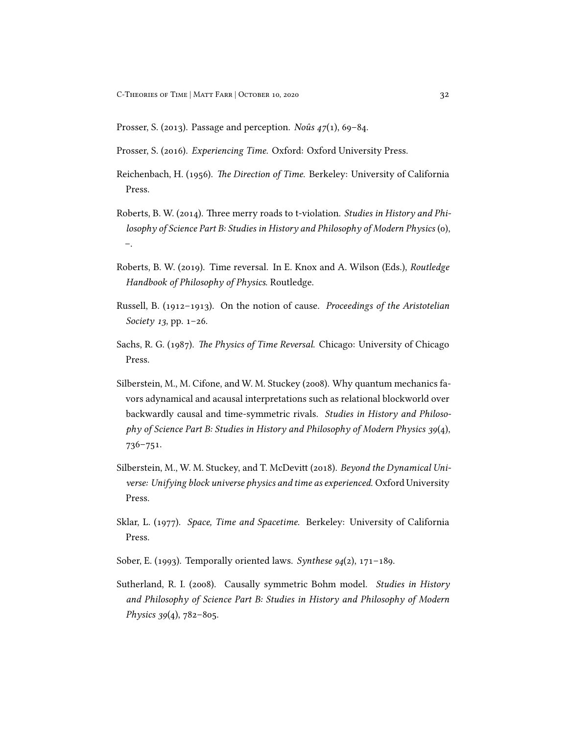- <span id="page-31-0"></span>Prosser, S. (2013). Passage and perception. *Noûs 47*(1), 69–84.
- <span id="page-31-1"></span>Prosser, S. (2016). *Experiencing Time*. Oxford: Oxford University Press.
- <span id="page-31-2"></span>Reichenbach, H. (1956). *The Direction of Time*. Berkeley: University of California Press.
- <span id="page-31-6"></span>Roberts, B. W. (2014). Three merry roads to t-violation. *Studies in History and Philosophy of Science Part B: Studies in History and Philosophy of Modern Physics* (0), –.
- <span id="page-31-3"></span>Roberts, B. W. (2019). Time reversal. In E. Knox and A. Wilson (Eds.), *Routledge Handbook of Philosophy of Physics*. Routledge.
- <span id="page-31-4"></span>Russell, B. (1912–1913). On the notion of cause. *Proceedings of the Aristotelian Society 13*, pp. 1–26.
- <span id="page-31-5"></span>Sachs, R. G. (1987). *The Physics of Time Reversal*. Chicago: University of Chicago Press.
- <span id="page-31-9"></span>Silberstein, M., M. Cifone, and W. M. Stuckey (2008). Why quantum mechanics favors adynamical and acausal interpretations such as relational blockworld over backwardly causal and time-symmetric rivals. *Studies in History and Philosophy of Science Part B: Studies in History and Philosophy of Modern Physics 39*(4), 736–751.
- <span id="page-31-10"></span>Silberstein, M., W. M. Stuckey, and T. McDevitt (2018). *Beyond the Dynamical Universe: Unifying block universe physics and time as experienced*. Oxford University Press.
- <span id="page-31-11"></span>Sklar, L. (1977). *Space, Time and Spacetime*. Berkeley: University of California Press.
- <span id="page-31-7"></span>Sober, E. (1993). Temporally oriented laws. *Synthese 94*(2), 171–189.
- <span id="page-31-8"></span>Sutherland, R. I. (2008). Causally symmetric Bohm model. *Studies in History and Philosophy of Science Part B: Studies in History and Philosophy of Modern Physics 39*(4), 782–805.